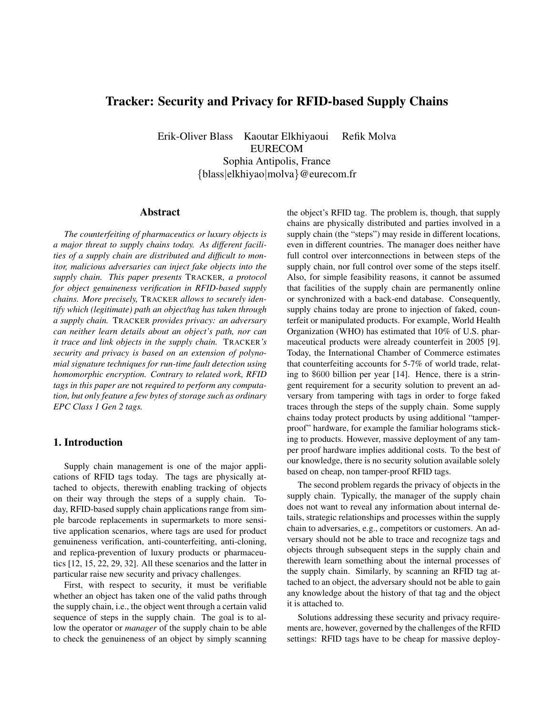# Tracker: Security and Privacy for RFID-based Supply Chains

Erik-Oliver Blass Kaoutar Elkhiyaoui Refik Molva EURECOM Sophia Antipolis, France {blass|elkhiyao|molva}@eurecom.fr

#### Abstract

*The counterfeiting of pharmaceutics or luxury objects is a major threat to supply chains today. As different facilities of a supply chain are distributed and difficult to monitor, malicious adversaries can inject fake objects into the supply chain. This paper presents* TRACKER*, a protocol for object genuineness verification in RFID-based supply chains. More precisely,* TRACKER *allows to securely identify which (legitimate) path an object/tag has taken through a supply chain.* TRACKER *provides privacy: an adversary can neither learn details about an object's path, nor can it trace and link objects in the supply chain.* TRACKER*'s security and privacy is based on an extension of polynomial signature techniques for run-time fault detection using homomorphic encryption. Contrary to related work, RFID tags in this paper are* not *required to perform any computation, but only feature a few bytes of storage such as ordinary EPC Class 1 Gen 2 tags.*

# 1. Introduction

Supply chain management is one of the major applications of RFID tags today. The tags are physically attached to objects, therewith enabling tracking of objects on their way through the steps of a supply chain. Today, RFID-based supply chain applications range from simple barcode replacements in supermarkets to more sensitive application scenarios, where tags are used for product genuineness verification, anti-counterfeiting, anti-cloning, and replica-prevention of luxury products or pharmaceutics [12, 15, 22, 29, 32]. All these scenarios and the latter in particular raise new security and privacy challenges.

First, with respect to security, it must be verifiable whether an object has taken one of the valid paths through the supply chain, i.e., the object went through a certain valid sequence of steps in the supply chain. The goal is to allow the operator or *manager* of the supply chain to be able to check the genuineness of an object by simply scanning the object's RFID tag. The problem is, though, that supply chains are physically distributed and parties involved in a supply chain (the "steps") may reside in different locations, even in different countries. The manager does neither have full control over interconnections in between steps of the supply chain, nor full control over some of the steps itself. Also, for simple feasibility reasons, it cannot be assumed that facilities of the supply chain are permanently online or synchronized with a back-end database. Consequently, supply chains today are prone to injection of faked, counterfeit or manipulated products. For example, World Health Organization (WHO) has estimated that 10% of U.S. pharmaceutical products were already counterfeit in 2005 [9]. Today, the International Chamber of Commerce estimates that counterfeiting accounts for 5-7% of world trade, relating to \$600 billion per year [14]. Hence, there is a stringent requirement for a security solution to prevent an adversary from tampering with tags in order to forge faked traces through the steps of the supply chain. Some supply chains today protect products by using additional "tamperproof" hardware, for example the familiar holograms sticking to products. However, massive deployment of any tamper proof hardware implies additional costs. To the best of our knowledge, there is no security solution available solely based on cheap, non tamper-proof RFID tags.

The second problem regards the privacy of objects in the supply chain. Typically, the manager of the supply chain does not want to reveal any information about internal details, strategic relationships and processes within the supply chain to adversaries, e.g., competitors or customers. An adversary should not be able to trace and recognize tags and objects through subsequent steps in the supply chain and therewith learn something about the internal processes of the supply chain. Similarly, by scanning an RFID tag attached to an object, the adversary should not be able to gain any knowledge about the history of that tag and the object it is attached to.

Solutions addressing these security and privacy requirements are, however, governed by the challenges of the RFID settings: RFID tags have to be cheap for massive deploy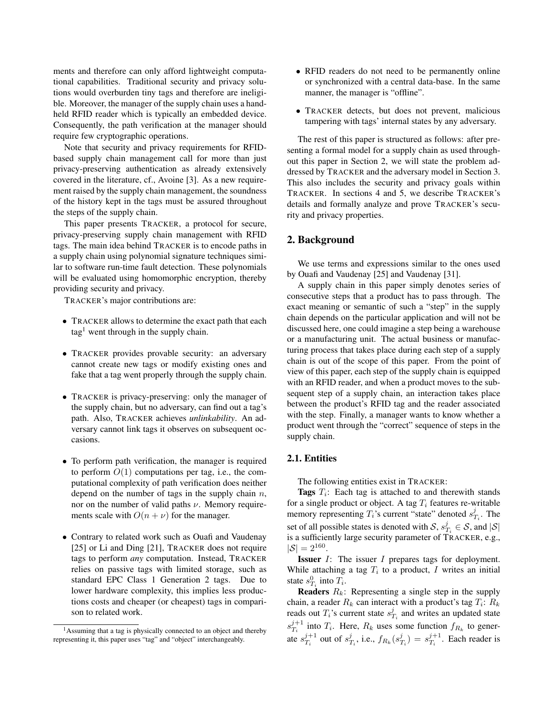ments and therefore can only afford lightweight computational capabilities. Traditional security and privacy solutions would overburden tiny tags and therefore are ineligible. Moreover, the manager of the supply chain uses a handheld RFID reader which is typically an embedded device. Consequently, the path verification at the manager should require few cryptographic operations.

Note that security and privacy requirements for RFIDbased supply chain management call for more than just privacy-preserving authentication as already extensively covered in the literature, cf., Avoine [3]. As a new requirement raised by the supply chain management, the soundness of the history kept in the tags must be assured throughout the steps of the supply chain.

This paper presents TRACKER, a protocol for secure, privacy-preserving supply chain management with RFID tags. The main idea behind TRACKER is to encode paths in a supply chain using polynomial signature techniques similar to software run-time fault detection. These polynomials will be evaluated using homomorphic encryption, thereby providing security and privacy.

TRACKER's major contributions are:

- TRACKER allows to determine the exact path that each  $tag<sup>1</sup>$  went through in the supply chain.
- TRACKER provides provable security: an adversary cannot create new tags or modify existing ones and fake that a tag went properly through the supply chain.
- TRACKER is privacy-preserving: only the manager of the supply chain, but no adversary, can find out a tag's path. Also, TRACKER achieves *unlinkability*. An adversary cannot link tags it observes on subsequent occasions.
- To perform path verification, the manager is required to perform  $O(1)$  computations per tag, i.e., the computational complexity of path verification does neither depend on the number of tags in the supply chain  $n$ , nor on the number of valid paths  $\nu$ . Memory requirements scale with  $O(n + \nu)$  for the manager.
- Contrary to related work such as Ouafi and Vaudenay [25] or Li and Ding [21], TRACKER does not require tags to perform *any* computation. Instead, TRACKER relies on passive tags with limited storage, such as standard EPC Class 1 Generation 2 tags. Due to lower hardware complexity, this implies less productions costs and cheaper (or cheapest) tags in comparison to related work.
- RFID readers do not need to be permanently online or synchronized with a central data-base. In the same manner, the manager is "offline".
- TRACKER detects, but does not prevent, malicious tampering with tags' internal states by any adversary.

The rest of this paper is structured as follows: after presenting a formal model for a supply chain as used throughout this paper in Section 2, we will state the problem addressed by TRACKER and the adversary model in Section 3. This also includes the security and privacy goals within TRACKER. In sections 4 and 5, we describe TRACKER's details and formally analyze and prove TRACKER's security and privacy properties.

## 2. Background

We use terms and expressions similar to the ones used by Ouafi and Vaudenay [25] and Vaudenay [31].

A supply chain in this paper simply denotes series of consecutive steps that a product has to pass through. The exact meaning or semantic of such a "step" in the supply chain depends on the particular application and will not be discussed here, one could imagine a step being a warehouse or a manufacturing unit. The actual business or manufacturing process that takes place during each step of a supply chain is out of the scope of this paper. From the point of view of this paper, each step of the supply chain is equipped with an RFID reader, and when a product moves to the subsequent step of a supply chain, an interaction takes place between the product's RFID tag and the reader associated with the step. Finally, a manager wants to know whether a product went through the "correct" sequence of steps in the supply chain.

#### 2.1. Entities

The following entities exist in TRACKER:

**Tags**  $T_i$ : Each tag is attached to and therewith stands for a single product or object. A tag  $T_i$  features re-writable memory representing  $T_i$ 's current "state" denoted  $s_{T_i}^j$ . The set of all possible states is denoted with  $S, s_{T_i}^j \in S$ , and  $|S|$ is a sufficiently large security parameter of TRACKER, e.g.,  $|S| = 2^{160}.$ 

**Issuer** *I*: The issuer *I* prepares tags for deployment. While attaching a tag  $T_i$  to a product, I writes an initial state  $s_{T_i}^0$  into  $T_i$ .

**Readers**  $R_k$ : Representing a single step in the supply chain, a reader  $R_k$  can interact with a product's tag  $T_i$ :  $R_k$ reads out  $T_i$ 's current state  $s_{T_i}^j$  and writes an updated state  $s_{T_i}^{j+1}$  into  $T_i$ . Here,  $R_k$  uses some function  $f_{R_k}$  to generate  $s_{T_i}^{j+1}$  out of  $s_{T_i}^j$ , i.e.,  $f_{R_k}(s_{T_i}^j) = s_{T_i}^{j+1}$ . Each reader is

<sup>&</sup>lt;sup>1</sup>Assuming that a tag is physically connected to an object and thereby representing it, this paper uses "tag" and "object" interchangeably.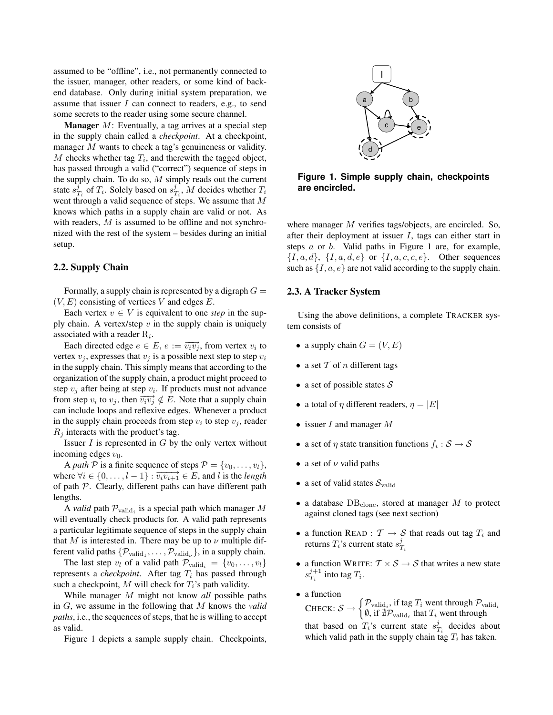assumed to be "offline", i.e., not permanently connected to the issuer, manager, other readers, or some kind of backend database. Only during initial system preparation, we assume that issuer  $I$  can connect to readers, e.g., to send some secrets to the reader using some secure channel.

**Manager**  $M$ : Eventually, a tag arrives at a special step in the supply chain called a *checkpoint*. At a checkpoint, manager M wants to check a tag's genuineness or validity.  $M$  checks whether tag  $T_i$ , and therewith the tagged object, has passed through a valid ("correct") sequence of steps in the supply chain. To do so,  $M$  simply reads out the current state  $s_{T_i}^j$  of  $T_i$ . Solely based on  $s_{T_i}^j$ , M decides whether  $T_i$ went through a valid sequence of steps. We assume that M knows which paths in a supply chain are valid or not. As with readers,  $M$  is assumed to be offline and not synchronized with the rest of the system – besides during an initial setup.

## 2.2. Supply Chain

Formally, a supply chain is represented by a digraph  $G =$  $(V, E)$  consisting of vertices V and edges E.

Each vertex  $v \in V$  is equivalent to one *step* in the supply chain. A vertex/step  $v$  in the supply chain is uniquely associated with a reader  $R_i$ .

Each directed edge  $e \in E$ ,  $e := \overrightarrow{v_i v_j}$ , from vertex  $v_i$  to vertex  $v_i$ , expresses that  $v_i$  is a possible next step to step  $v_i$ in the supply chain. This simply means that according to the organization of the supply chain, a product might proceed to step  $v_j$  after being at step  $v_i$ . If products must not advance from step  $v_i$  to  $v_j$ , then  $\overrightarrow{v_iv_j} \notin E$ . Note that a supply chain can include loops and reflexive edges. Whenever a product in the supply chain proceeds from step  $v_i$  to step  $v_j$ , reader  $R_i$  interacts with the product's tag.

Issuer  $I$  is represented in  $G$  by the only vertex without incoming edges  $v_0$ .

A *path*  $P$  is a finite sequence of steps  $P = \{v_0, \ldots, v_l\},\$ where  $\forall i \in \{0, \ldots, l-1\} : \overline{v_i v_{i+1}} \in E$ , and *l* is the *length* of path P. Clearly, different paths can have different path lengths.

A *valid* path  $\mathcal{P}_{valid_i}$  is a special path which manager M will eventually check products for. A valid path represents a particular legitimate sequence of steps in the supply chain that M is interested in. There may be up to  $\nu$  multiple different valid paths  $\{P_{valid_1}, \ldots, P_{valid_{\nu}}\}$ , in a supply chain.

The last step  $v_l$  of a valid path  $\mathcal{P}_{valid_i} = \{v_0, \ldots, v_l\}$ represents a *checkpoint*. After tag  $T_i$  has passed through such a checkpoint, M will check for  $T_i$ 's path validity.

While manager M might not know *all* possible paths in G, we assume in the following that M knows the *valid paths*, i.e., the sequences of steps, that he is willing to accept as valid.

Figure 1 depicts a sample supply chain. Checkpoints,



**Figure 1. Simple supply chain, checkpoints are encircled.**

where manager  $M$  verifies tags/objects, are encircled. So, after their deployment at issuer I, tags can either start in steps  $a$  or  $b$ . Valid paths in Figure 1 are, for example,  $\{I, a, d\}, \{I, a, d, e\}$  or  $\{I, a, c, c, e\}$ . Other sequences such as  $\{I, a, e\}$  are not valid according to the supply chain.

#### 2.3. A Tracker System

Using the above definitions, a complete TRACKER system consists of

- a supply chain  $G = (V, E)$
- a set  $T$  of n different tags
- a set of possible states  $S$
- a total of  $\eta$  different readers,  $\eta = |E|$
- issuer  $I$  and manager  $M$
- a set of  $\eta$  state transition functions  $f_i : \mathcal{S} \to \mathcal{S}$
- a set of  $\nu$  valid paths
- a set of valid states  $S_{\text{valid}}$
- a database  $DB_{clone}$ , stored at manager  $M$  to protect against cloned tags (see next section)
- a function READ :  $\mathcal{T} \rightarrow \mathcal{S}$  that reads out tag  $T_i$  and returns  $T_i$ 's current state  $s_{T_i}^j$
- a function WRITE:  $T \times S \rightarrow S$  that writes a new state  $s_{T_i}^{j+1}$  into tag  $T_i$ .
- a function CHECK:  $S \rightarrow \begin{cases} \mathcal{P}_{\text{valid}_i}, \text{if tag } T_i \text{ went through } \mathcal{P}_{\text{valid}_i} \\ \emptyset, \text{if } \mathcal{P}_{\text{right}} \text{ that } T \text{ want through } \end{cases}$  $\emptyset$ , if  $\sharp \tilde{P}_{valid}$  that  $T_i$  went through that based on  $T_i$ 's current state  $s_{T_i}^j$  decides about which valid path in the supply chain tag  $T_i$  has taken.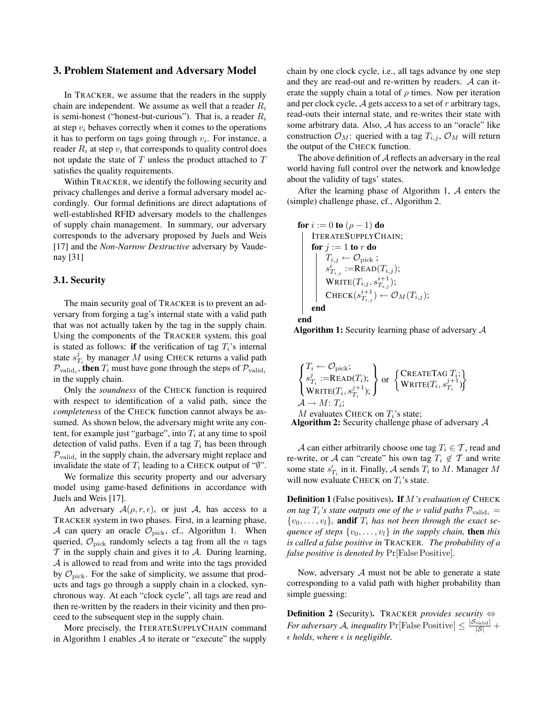### 3. Problem Statement and Adversary Model

In TRACKER, we assume that the readers in the supply chain are independent. We assume as well that a reader  $R_i$ is semi-honest ("honest-but-curious"). That is, a reader  $R_i$ at step  $v_i$  behaves correctly when it comes to the operations it has to perform on tags going through  $v_i$ . For instance, a reader  $R_i$  at step  $v_i$  that corresponds to quality control does not update the state of  $T$  unless the product attached to  $T$ satisfies the quality requirements.

Within TRACKER, we identify the following security and privacy challenges and derive a formal adversary model accordingly. Our formal definitions are direct adaptations of well-established RFID adversary models to the challenges of supply chain management. In summary, our adversary corresponds to the adversary proposed by Juels and Weis [17] and the *Non-Narrow Destructive* adversary by Vaudenay [31]

#### 3.1. Security

The main security goal of TRACKER is to prevent an adversary from forging a tag's internal state with a valid path that was not actually taken by the tag in the supply chain. Using the components of the TRACKER system, this goal is stated as follows: if the verification of tag  $T_i$ 's internal state  $s_{T_i}^j$  by manager M using CHECK returns a valid path  $\mathcal{P}_{\text{valid}_i},$  **then**  $T_i$  must have gone through the steps of  $\mathcal{P}_{\text{valid}_i}$ in the supply chain.

Only the *soundness* of the CHECK function is required with respect to identification of a valid path, since the *completeness* of the CHECK function cannot always be assumed. As shown below, the adversary might write any content, for example just "garbage", into  $T_i$  at any time to spoil detection of valid paths. Even if a tag  $T_i$  has been through  $P_{valid_i}$  in the supply chain, the adversary might replace and invalidate the state of  $T_i$  leading to a CHECK output of " $\emptyset$ ".

We formalize this security property and our adversary model using game-based definitions in accordance with Juels and Weis [17].

An adversary  $A(\rho, r, \epsilon)$ , or just A, has access to a TRACKER system in two phases. First, in a learning phase, A can query an oracle  $\mathcal{O}_{\text{pick}}$ , cf., Algorithm 1. When queried,  $\mathcal{O}_{\text{pick}}$  randomly selects a tag from all the *n* tags  $\mathcal T$  in the supply chain and gives it to  $\mathcal A$ . During learning, A is allowed to read from and write into the tags provided by  $\mathcal{O}_{\text{pick}}$ . For the sake of simplicity, we assume that products and tags go through a supply chain in a clocked, synchronous way. At each "clock cycle", all tags are read and then re-written by the readers in their vicinity and then proceed to the subsequent step in the supply chain.

More precisely, the ITERATESUPPLYCHAIN command in Algorithm 1 enables  $A$  to iterate or "execute" the supply

chain by one clock cycle, i.e., all tags advance by one step and they are read-out and re-written by readers. A can iterate the supply chain a total of  $\rho$  times. Now per iteration and per clock cycle,  $A$  gets access to a set of  $r$  arbitrary tags, read-outs their internal state, and re-writes their state with some arbitrary data. Also, A has access to an "oracle" like construction  $\mathcal{O}_M$ : queried with a tag  $T_{i,j}$ ,  $\mathcal{O}_M$  will return the output of the CHECK function.

The above definition of A reflects an adversary in the real world having full control over the network and knowledge about the validity of tags' states.

After the learning phase of Algorithm 1, A enters the (simple) challenge phase, cf., Algorithm 2.

for  $i := 0$  to  $(\rho - 1)$  do ITERATESUPPLYCHAIN; for  $j := 1$  to r do  $T_{i,j} \leftarrow \mathcal{O}_{\rm{pick}}$  ;  $s_{T_{i,j}}^i := \text{READ}(T_{i,j});$  $\mathrm{WRITE}(T_{i,j}, s_{T_{i,j}}^{i+1});$  $\text{CHECK}(s_{T_{i,j}}^{i+1}) \leftarrow \mathcal{O}_M(T_{i,j});$ end end

**Algorithm 1:** Security learning phase of adversary  $A$ 

$$
\begin{Bmatrix}\nT_i \leftarrow \mathcal{O}_{\text{pick}}; \\
s_{T_i}^j := \text{READ}(T_i); \\
\text{WRITE}(T_i, s_{T_i}^{j+1});\n\end{Bmatrix} \text{ or } \begin{Bmatrix}\n\text{CREATETAG } T_i; \\
\text{WRITE}(T_i, s_{T_i}^{j+1})\n\end{Bmatrix}
$$
\n
$$
\mathcal{A} \rightarrow M: T_i;
$$
\n
$$
M \text{ evaluates } \text{CHECK on } T_i \text{'s state};
$$

Algorithm 2: Security challenge phase of adversary  $A$ 

A can either arbitrarily choose one tag  $T_i \in \mathcal{T}$ , read and re-write, or A can "create" his own tag  $T_i \notin \mathcal{T}$  and write some state  $s'_{T_i}$  in it. Finally, A sends  $T_i$  to M. Manager M will now evaluate CHECK on  $T_i$ 's state.

Definition 1 (False positives). If M*'s evaluation of* CHECK *on tag*  $T_i$ *'s state outputs one of the*  $\nu$  *valid paths*  $P_{valid_i}$  =  $\{v_0, \ldots, v_l\}$ , andif  $T_i$  has not been through the exact se*quence of steps*  $\{v_0, \ldots, v_l\}$  *in the supply chain, then this is called a false positive in* TRACKER*. The probability of a false positive is denoted by* Pr[False Positive]*.*

Now, adversary  $A$  must not be able to generate a state corresponding to a valid path with higher probability than simple guessing:

Definition 2 (Security). TRACKER *provides security* ⇔ *For adversary A, inequality*  $Pr[False Positive] \leq \frac{|S_{valid}|}{|S|} +$  $\epsilon$  *holds, where*  $\epsilon$  *is negligible.*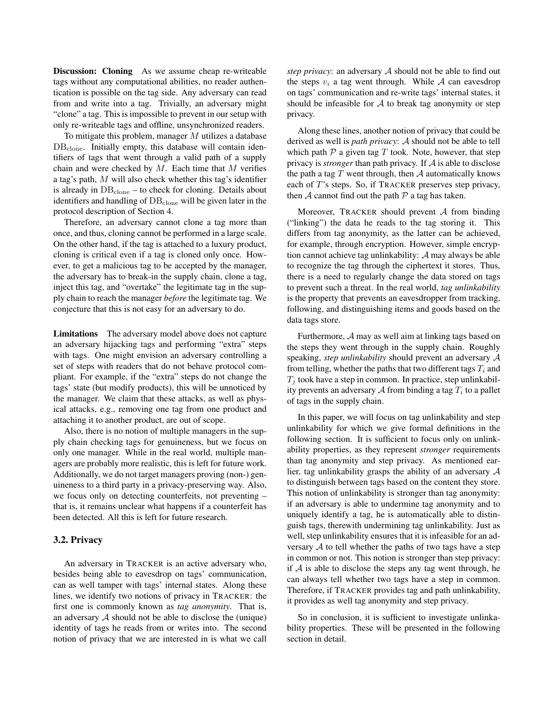Discussion: Cloning As we assume cheap re-writeable tags without any computational abilities, no reader authentication is possible on the tag side. Any adversary can read from and write into a tag. Trivially, an adversary might "clone" a tag. This is impossible to prevent in our setup with only re-writeable tags and offline, unsynchronized readers.

To mitigate this problem, manager  $M$  utilizes a database DB<sub>clone</sub>. Initially empty, this database will contain identifiers of tags that went through a valid path of a supply chain and were checked by  $M$ . Each time that  $M$  verifies a tag's path, M will also check whether this tag's identifier is already in  $DB<sub>clone</sub> -$  to check for cloning. Details about identifiers and handling of  $DB<sub>clone</sub>$  will be given later in the protocol description of Section 4.

Therefore, an adversary cannot clone a tag more than once, and thus, cloning cannot be performed in a large scale. On the other hand, if the tag is attached to a luxury product, cloning is critical even if a tag is cloned only once. However, to get a malicious tag to be accepted by the manager, the adversary has to break-in the supply chain, clone a tag, inject this tag, and "overtake" the legitimate tag in the supply chain to reach the manager *before* the legitimate tag. We conjecture that this is not easy for an adversary to do.

Limitations The adversary model above does not capture an adversary hijacking tags and performing "extra" steps with tags. One might envision an adversary controlling a set of steps with readers that do not behave protocol compliant. For example, if the "extra" steps do not change the tags' state (but modify products), this will be unnoticed by the manager. We claim that these attacks, as well as physical attacks, e.g., removing one tag from one product and attaching it to another product, are out of scope.

Also, there is no notion of multiple managers in the supply chain checking tags for genuineness, but we focus on only one manager. While in the real world, multiple managers are probably more realistic, this is left for future work. Additionally, we do not target managers proving (non-) genuineness to a third party in a privacy-preserving way. Also, we focus only on detecting counterfeits, not preventing – that is, it remains unclear what happens if a counterfeit has been detected. All this is left for future research.

#### 3.2. Privacy

An adversary in TRACKER is an active adversary who, besides being able to eavesdrop on tags' communication, can as well tamper with tags' internal states. Along these lines, we identify two notions of privacy in TRACKER: the first one is commonly known as *tag anonymity*. That is, an adversary  $A$  should not be able to disclose the (unique) identity of tags he reads from or writes into. The second notion of privacy that we are interested in is what we call *step privacy*: an adversary A should not be able to find out the steps  $v_i$  a tag went through. While A can eavesdrop on tags' communication and re-write tags' internal states, it should be infeasible for  $A$  to break tag anonymity or step privacy.

Along these lines, another notion of privacy that could be derived as well is *path privacy*: A should not be able to tell which path  $P$  a given tag  $T$  took. Note, however, that step privacy is *stronger* than path privacy. If A is able to disclose the path a tag  $T$  went through, then  $A$  automatically knows each of T's steps. So, if TRACKER preserves step privacy, then A cannot find out the path  $P$  a tag has taken.

Moreover, TRACKER should prevent  $A$  from binding ("linking") the data he reads to the tag storing it. This differs from tag anonymity, as the latter can be achieved, for example, through encryption. However, simple encryption cannot achieve tag unlinkability:  $\mathcal A$  may always be able to recognize the tag through the ciphertext it stores. Thus, there is a need to regularly change the data stored on tags to prevent such a threat. In the real world, *tag unlinkability* is the property that prevents an eavesdropper from tracking, following, and distinguishing items and goods based on the data tags store.

Furthermore, A may as well aim at linking tags based on the steps they went through in the supply chain. Roughly speaking, *step unlinkability* should prevent an adversary A from telling, whether the paths that two different tags  $T_i$  and  $T_i$  took have a step in common. In practice, step unlinkability prevents an adversary  ${\mathcal A}$  from binding a tag  $T_i$  to a pallet of tags in the supply chain.

In this paper, we will focus on tag unlinkability and step unlinkability for which we give formal definitions in the following section. It is sufficient to focus only on unlinkability properties, as they represent *stronger* requirements than tag anonymity and step privacy. As mentioned earlier, tag unlinkability grasps the ability of an adversary A to distinguish between tags based on the content they store. This notion of unlinkability is stronger than tag anonymity: if an adversary is able to undermine tag anonymity and to uniquely identify a tag, he is automatically able to distinguish tags, therewith undermining tag unlinkability. Just as well, step unlinkability ensures that it is infeasible for an adversary  $A$  to tell whether the paths of two tags have a step in common or not. This notion is stronger than step privacy: if  $A$  is able to disclose the steps any tag went through, he can always tell whether two tags have a step in common. Therefore, if TRACKER provides tag and path unlinkability, it provides as well tag anonymity and step privacy.

So in conclusion, it is sufficient to investigate unlinkability properties. These will be presented in the following section in detail.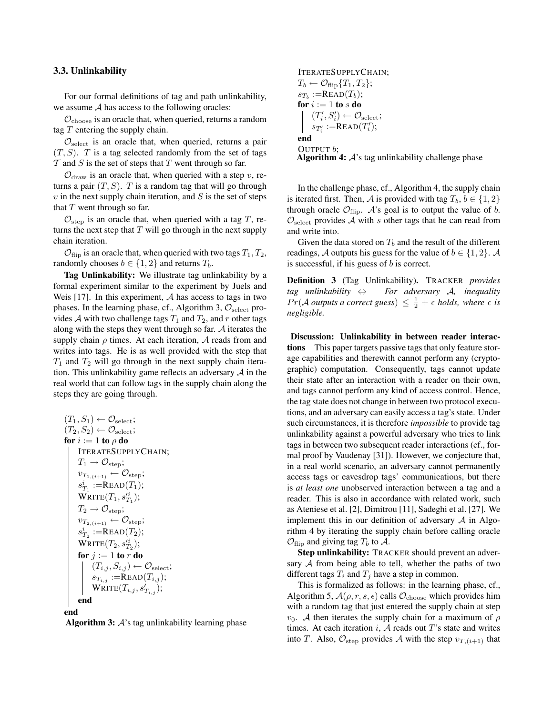#### 3.3. Unlinkability

For our formal definitions of tag and path unlinkability, we assume  $A$  has access to the following oracles:

 $\mathcal{O}_{\text{choose}}$  is an oracle that, when queried, returns a random tag  $T$  entering the supply chain.

 $\mathcal{O}_{\text{select}}$  is an oracle that, when queried, returns a pair  $(T, S)$ . T is a tag selected randomly from the set of tags  $T$  and  $S$  is the set of steps that  $T$  went through so far.

 $\mathcal{O}_{\text{draw}}$  is an oracle that, when queried with a step v, returns a pair  $(T, S)$ . T is a random tag that will go through  $v$  in the next supply chain iteration, and  $S$  is the set of steps that  $T$  went through so far.

 $\mathcal{O}_{\text{sten}}$  is an oracle that, when queried with a tag T, returns the next step that  $T$  will go through in the next supply chain iteration.

 $\mathcal{O}_{\text{flip}}$  is an oracle that, when queried with two tags  $T_1, T_2$ , randomly chooses  $b \in \{1, 2\}$  and returns  $T_b$ .

Tag Unlinkability: We illustrate tag unlinkability by a formal experiment similar to the experiment by Juels and Weis  $[17]$ . In this experiment,  $A$  has access to tags in two phases. In the learning phase, cf., Algorithm 3,  $\mathcal{O}_{select}$  provides A with two challenge tags  $T_1$  and  $T_2$ , and r other tags along with the steps they went through so far. A iterates the supply chain  $\rho$  times. At each iteration, A reads from and writes into tags. He is as well provided with the step that  $T_1$  and  $T_2$  will go through in the next supply chain iteration. This unlinkability game reflects an adversary  $A$  in the real world that can follow tags in the supply chain along the steps they are going through.

$$
(T_1, S_1) \leftarrow \mathcal{O}_{select};
$$
\n
$$
(T_2, S_2) \leftarrow \mathcal{O}_{select};
$$
\n**for**  $i := 1$  **to**  $\rho$  **do**\n  
\n**ITERATESUPPLYCHAIN;**\n
$$
T_1 \rightarrow \mathcal{O}_{step};
$$
\n
$$
v_{T_{1,(i+1)}} \leftarrow \mathcal{O}_{step};
$$
\n
$$
s_{T_1}^i := \text{READ}(T_1);
$$
\n
$$
WRITE(T_1, s_{T_1}^{n});
$$
\n
$$
T_2 \rightarrow \mathcal{O}_{step};
$$
\n
$$
v_{T_{2,(i+1)}} \leftarrow \mathcal{O}_{step};
$$
\n
$$
s_{T_2}^i := \text{READ}(T_2);
$$
\n
$$
WRITE(T_2, s_{T_2}^{n});
$$
\n**for**  $j := 1$  **to**  $r$  **do**\n
$$
(T_{i,j}, S_{i,j}) \leftarrow \mathcal{O}_{select};
$$
\n
$$
s_{T_{i,j}} := \text{READ}(T_{i,j});
$$
\n
$$
WRITE(T_{i,j}, s_{T_{i,j}});
$$
\n**end**\n**end**

Algorithm 3:  $A$ 's tag unlinkability learning phase

ITERATESUPPLYCHAIN;  $T_b \leftarrow \mathcal{O}_{\text{flip}}\{T_1, T_2\};$  $s_{T_b} := \text{READ}(T_b);$ for  $i := 1$  to s do  $(T'_i, S'_i) \leftarrow \mathcal{O}_{select};$  $s_{T_i'}:=\text{READ}(T_i');$ end OUTPUT  $b$ ; Algorithm 4:  $A$ 's tag unlinkability challenge phase

In the challenge phase, cf., Algorithm 4, the supply chain is iterated first. Then, A is provided with tag  $T_b$ ,  $b \in \{1, 2\}$ through oracle  $\mathcal{O}_{\text{flip}}$ . A's goal is to output the value of b.  $\mathcal{O}_{select}$  provides A with s other tags that he can read from and write into.

Given the data stored on  $T_b$  and the result of the different readings, A outputs his guess for the value of  $b \in \{1, 2\}$ . A is successful, if his guess of  $b$  is correct.

Definition 3 (Tag Unlinkability). TRACKER *provides tag unlinkability* ⇔ *For adversary* A*, inequality*  $Pr(A \text{ outputs a correct guess}) \leq \frac{1}{2} + \epsilon \text{ holds}, \text{ where } \epsilon \text{ is}$ *negligible.*

Discussion: Unlinkability in between reader interactions This paper targets passive tags that only feature storage capabilities and therewith cannot perform any (cryptographic) computation. Consequently, tags cannot update their state after an interaction with a reader on their own, and tags cannot perform any kind of access control. Hence, the tag state does not change in between two protocol executions, and an adversary can easily access a tag's state. Under such circumstances, it is therefore *impossible* to provide tag unlinkability against a powerful adversary who tries to link tags in between two subsequent reader interactions (cf., formal proof by Vaudenay [31]). However, we conjecture that, in a real world scenario, an adversary cannot permanently access tags or eavesdrop tags' communications, but there is *at least one* unobserved interaction between a tag and a reader. This is also in accordance with related work, such as Ateniese et al. [2], Dimitrou [11], Sadeghi et al. [27]. We implement this in our definition of adversary  $A$  in Algorithm 4 by iterating the supply chain before calling oracle  $\mathcal{O}_{\text{flip}}$  and giving tag  $T_b$  to A.

Step unlinkability: TRACKER should prevent an adversary  $A$  from being able to tell, whether the paths of two different tags  $T_i$  and  $T_j$  have a step in common.

This is formalized as follows: in the learning phase, cf., Algorithm 5,  $A(\rho, r, s, \epsilon)$  calls  $\mathcal{O}_{\text{choose}}$  which provides him with a random tag that just entered the supply chain at step  $v_0$ . A then iterates the supply chain for a maximum of  $\rho$ times. At each iteration  $i$ ,  $A$  reads out  $T$ 's state and writes into T. Also,  $\mathcal{O}_{\text{step}}$  provides A with the step  $v_{T,(i+1)}$  that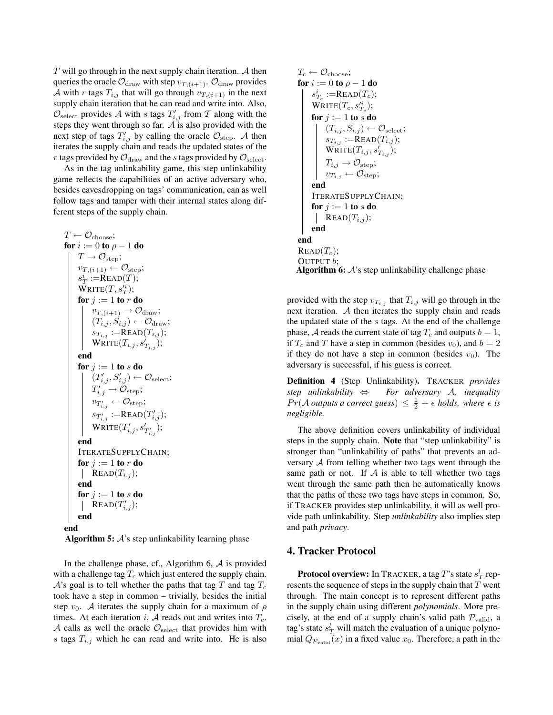$T$  will go through in the next supply chain iteration.  $A$  then queries the oracle  $\mathcal{O}_{\text{draw}}$  with step  $v_{T,(i+1)}$ .  $\mathcal{O}_{\text{draw}}$  provides A with r tags  $T_{i,j}$  that will go through  $v_{T,(i+1)}$  in the next supply chain iteration that he can read and write into. Also,  $\mathcal{O}_{\text{select}}$  provides A with s tags  $T'_{i,j}$  from T along with the steps they went through so far.  $\mathcal{A}$  is also provided with the next step of tags  $T'_{i,j}$  by calling the oracle  $\mathcal{O}_{\text{step}}$ . A then iterates the supply chain and reads the updated states of the r tags provided by  $\mathcal{O}_{\text{draw}}$  and the s tags provided by  $\mathcal{O}_{\text{select}}$ .

As in the tag unlinkability game, this step unlinkability game reflects the capabilities of an active adversary who, besides eavesdropping on tags' communication, can as well follow tags and tamper with their internal states along different steps of the supply chain.

$$
T \leftarrow \mathcal{O}_{\text{choose}}; \quad \text{for } i := 0 \text{ to } \rho - 1 \text{ do} \\ T \rightarrow \mathcal{O}_{\text{step}}; \\ v_{T,(i+1)} \leftarrow \mathcal{O}_{\text{step}}; \\ s_T^i := \text{READ}(T); \\ \text{WRITE}(T, s_T^{\prime i}); \\ \text{for } j := 1 \text{ to } r \text{ do} \\ v_{T,(i+1)} \rightarrow \mathcal{O}_{\text{draw}}; \\ (T_{i,j}, S_{i,j}) \leftarrow \mathcal{O}_{\text{draw}}; \\ s_{T_{i,j}} := \text{READ}(T_{i,j}); \\ \text{WRITE}(T_{i,j}, s_{T_{i,j}}^{\prime}); \\ \text{end} \\ \text{for } j := 1 \text{ to } s \text{ do} \\ (T'_{i,j}, S'_{i,j}) \leftarrow \mathcal{O}_{\text{select}}; \\ T'_{i,j} \rightarrow \mathcal{O}_{\text{step}}; \\ v_{T'_{i,j}} \leftarrow \mathcal{O}_{\text{step}}; \\ v_{T'_{i,j}} \leftarrow \mathcal{O}_{\text{step}}; \\ s_{T'_{i,j}} := \text{READ}(T'_{i,j}); \\ \text{WRITE}(T'_{i,j}, s'_{T'_{i,j}}); \\ \text{end} \\ \text{for } j := 1 \text{ to } r \text{ do} \\ \text{READ}(T_{i,j}); \\ \text{end} \\ \text{for } j := 1 \text{ to } s \text{ do} \\ \text{READ}(T'_{i,j}); \\ \text{end}
$$

**Algorithm 5:**  $\mathcal{A}$ 's step unlinkability learning phase

In the challenge phase, cf., Algorithm 6,  $\mathcal A$  is provided with a challenge tag  $T_c$  which just entered the supply chain.  $\mathcal{A}$ 's goal is to tell whether the paths that tag T and tag  $T_c$ took have a step in common – trivially, besides the initial step  $v_0$ . A iterates the supply chain for a maximum of  $\rho$ times. At each iteration i, A reads out and writes into  $T_c$ . A calls as well the oracle  $\mathcal{O}_{select}$  that provides him with s tags  $T_{i,j}$  which he can read and write into. He is also

$$
T_{\rm c} \leftarrow \mathcal{O}_{\rm choose};
$$
\n**for**  $i := 0$  **to**  $\rho - 1$  **do**\n
$$
s_{T_c}^i := \text{READ}(T_c);
$$
\n
$$
\text{WRITE}(T_c, s_{T_c}^{i_j});
$$
\n**for**  $j := 1$  **to**  $s$  **do**\n
$$
(T_{i,j}, S_{i,j}) \leftarrow \mathcal{O}_{\text{select}};
$$
\n
$$
s_{T_{i,j}} := \text{READ}(T_{i,j});
$$
\n
$$
\text{WRITE}(T_{i,j}, s_{T_{i,j}}';
$$
\n
$$
T_{i,j} \rightarrow \mathcal{O}_{\text{step}};
$$
\n
$$
v_{T_{i,j}} \leftarrow \mathcal{O}_{\text{step}};
$$
\n**end**\n**ITERATESUPPLYCHAIN;**\n**for**  $j := 1$  **to**  $s$  **do**\n
$$
R
$$
 **BAD**  $(T_{i,j});$ \n**end**\n**end**\n**READ**  $(T_c);$ \n**OUTPUT**  $b;$ \n**Algorithm 6:**  $\mathcal{A}$ 's step unlinkability challenge phase

provided with the step  $v_{T_{i,j}}$  that  $T_{i,j}$  will go through in the next iteration. A then iterates the supply chain and reads the updated state of the  $s$  tags. At the end of the challenge phase, A reads the current state of tag  $T_c$  and outputs  $b = 1$ , if  $T_c$  and T have a step in common (besides  $v_0$ ), and  $b = 2$ if they do not have a step in common (besides  $v_0$ ). The adversary is successful, if his guess is correct.

Definition 4 (Step Unlinkability). TRACKER *provides step unlinkability* ⇔ *For adversary* A*, inequality*  $Pr(A \text{ outputs a correct guess}) \leq \frac{1}{2} + \epsilon \text{ holds}, \text{ where } \epsilon \text{ is}$ *negligible.*

The above definition covers unlinkability of individual steps in the supply chain. Note that "step unlinkability" is stronger than "unlinkability of paths" that prevents an adversary A from telling whether two tags went through the same path or not. If  $\mathcal A$  is able to tell whether two tags went through the same path then he automatically knows that the paths of these two tags have steps in common. So, if TRACKER provides step unlinkability, it will as well provide path unlinkability. Step *unlinkability* also implies step and path *privacy*.

# 4. Tracker Protocol

**Protocol overview:** In TRACKER, a tag  $T$ 's state  $s_T^l$  represents the sequence of steps in the supply chain that  $T$  went through. The main concept is to represent different paths in the supply chain using different *polynomials*. More precisely, at the end of a supply chain's valid path  $\mathcal{P}_{valid}$ , a tag's state  $s_T^l$  will match the evaluation of a unique polynomial  $Q_{\mathcal{P}_{valid}}(x)$  in a fixed value  $x_0$ . Therefore, a path in the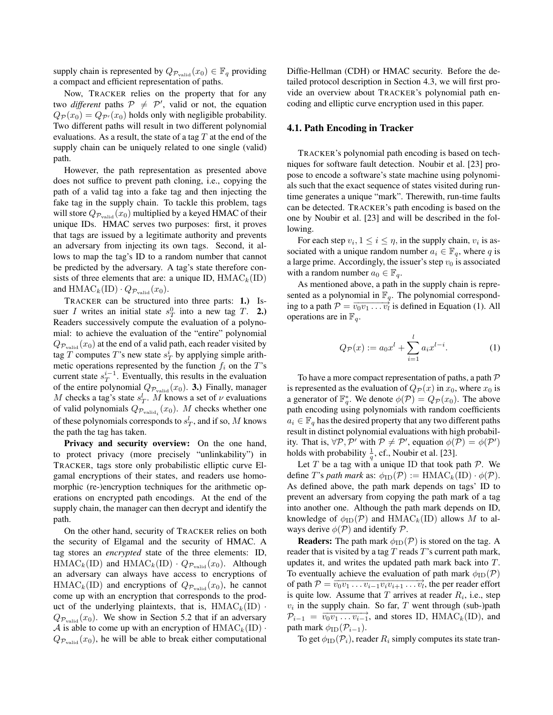supply chain is represented by  $Q_{\mathcal{P}_{valid}}(x_0) \in \mathbb{F}_q$  providing a compact and efficient representation of paths.

Now, TRACKER relies on the property that for any two *different* paths  $P \neq P'$ , valid or not, the equation  $Q_{\mathcal{P}}(x_0) = Q_{\mathcal{P}'}(x_0)$  holds only with negligible probability. Two different paths will result in two different polynomial evaluations. As a result, the state of a tag  $T$  at the end of the supply chain can be uniquely related to one single (valid) path.

However, the path representation as presented above does not suffice to prevent path cloning, i.e., copying the path of a valid tag into a fake tag and then injecting the fake tag in the supply chain. To tackle this problem, tags will store  $Q_{\mathcal{P}_{\text{valid}}}(x_0)$  multiplied by a keyed HMAC of their unique IDs. HMAC serves two purposes: first, it proves that tags are issued by a legitimate authority and prevents an adversary from injecting its own tags. Second, it allows to map the tag's ID to a random number that cannot be predicted by the adversary. A tag's state therefore consists of three elements that are: a unique ID,  $HMAC_k(ID)$ and  $\text{HMAC}_k(\text{ID}) \cdot Q_{\mathcal{P}_{\text{valid}}}(x_0)$ .

TRACKER can be structured into three parts: 1.) Issuer *I* writes an initial state  $s_T^0$  into a new tag *T*. 2.) Readers successively compute the evaluation of a polynomial: to achieve the evaluation of the "entire" polynomial  $Q_{\mathcal{P}_{\text{valid}}}(x_0)$  at the end of a valid path, each reader visited by tag T computes T's new state  $s_T^i$  by applying simple arithmetic operations represented by the function  $f_i$  on the  $T$ 's current state  $s_T^{i-1}$ . Eventually, this results in the evaluation of the entire polynomial  $Q_{\mathcal{P}_{valid}}(x_0)$ . 3.) Finally, manager M checks a tag's state  $s_T^l$ . M knows a set of  $\nu$  evaluations of valid polynomials  $Q_{\mathcal{P}_{\text{valid}_i}}(x_0)$ . M checks whether one of these polynomials corresponds to  $s_T^l$ , and if so,  $M$  knows the path the tag has taken.

Privacy and security overview: On the one hand, to protect privacy (more precisely "unlinkability") in TRACKER, tags store only probabilistic elliptic curve Elgamal encryptions of their states, and readers use homomorphic (re-)encryption techniques for the arithmetic operations on encrypted path encodings. At the end of the supply chain, the manager can then decrypt and identify the path.

On the other hand, security of TRACKER relies on both the security of Elgamal and the security of HMAC. A tag stores an *encrypted* state of the three elements: ID,  $\text{HMAC}_k(\text{ID})$  and  $\text{HMAC}_k(\text{ID}) \cdot Q_{\mathcal{P}_{\text{valid}}}(x_0)$ . Although an adversary can always have access to encryptions of  $HMAC_k(ID)$  and encryptions of  $Q_{\mathcal{P}_{valid}}(x_0)$ , he cannot come up with an encryption that corresponds to the product of the underlying plaintexts, that is,  $HMAC_k(ID)$ .  $Q_{\mathcal{P}_{valid}}(x_0)$ . We show in Section 5.2 that if an adversary A is able to come up with an encryption of  $\text{HMAC}_k(\text{ID})$ .  $Q_{\mathcal{P}_{valid}}(x_0)$ , he will be able to break either computational

Diffie-Hellman (CDH) or HMAC security. Before the detailed protocol description in Section 4.3, we will first provide an overview about TRACKER's polynomial path encoding and elliptic curve encryption used in this paper.

#### 4.1. Path Encoding in Tracker

TRACKER's polynomial path encoding is based on techniques for software fault detection. Noubir et al. [23] propose to encode a software's state machine using polynomials such that the exact sequence of states visited during runtime generates a unique "mark". Therewith, run-time faults can be detected. TRACKER's path encoding is based on the one by Noubir et al. [23] and will be described in the following.

For each step  $v_i, 1 \le i \le \eta$ , in the supply chain,  $v_i$  is associated with a unique random number  $a_i \in \mathbb{F}_q$ , where q is a large prime. Accordingly, the issuer's step  $v_0$  is associated with a random number  $a_0 \in \mathbb{F}_q$ .

As mentioned above, a path in the supply chain is represented as a polynomial in  $\mathbb{F}_q$ . The polynomial corresponding to a path  $P = \overline{v_0 v_1 \dots v_l}$  is defined in Equation (1). All operations are in  $\mathbb{F}_q$ .

$$
Q_{\mathcal{P}}(x) := a_0 x^l + \sum_{i=1}^l a_i x^{l-i}.
$$
 (1)

To have a more compact representation of paths, a path  $P$ is represented as the evaluation of  $Q_{\mathcal{P}}(x)$  in  $x_0$ , where  $x_0$  is a generator of  $\mathbb{F}_q^*$ . We denote  $\phi(\mathcal{P}) = Q_{\mathcal{P}}(x_0)$ . The above path encoding using polynomials with random coefficients  $a_i \in \mathbb{F}_q$  has the desired property that any two different paths result in distinct polynomial evaluations with high probability. That is,  $\forall P, P'$  with  $P \neq P'$ , equation  $\phi(P) = \phi(P')$ holds with probability  $\frac{1}{q}$ , cf., Noubir et al. [23].

Let  $T$  be a tag with a unique ID that took path  $P$ . We define T's *path mark* as:  $\phi_{ID}(\mathcal{P}) := \text{HMAC}_k(\text{ID}) \cdot \phi(\mathcal{P})$ . As defined above, the path mark depends on tags' ID to prevent an adversary from copying the path mark of a tag into another one. Although the path mark depends on ID, knowledge of  $\phi_{\text{ID}}(\mathcal{P})$  and HMAC<sub>k</sub>(ID) allows M to always derive  $\phi(\mathcal{P})$  and identify  $\mathcal{P}$ .

**Readers:** The path mark  $\phi_{\text{ID}}(\mathcal{P})$  is stored on the tag. A reader that is visited by a tag  $T$  reads  $T$ 's current path mark, updates it, and writes the updated path mark back into T. To eventually achieve the evaluation of path mark  $\phi_{\text{ID}}(\mathcal{P})$ of path  $P = \overline{v_0 v_1 \dots v_{i-1} v_i v_{i+1} \dots v_l}$ , the per reader effort is quite low. Assume that  $T$  arrives at reader  $R_i$ , i.e., step  $v_i$  in the supply chain. So far, T went through (sub-)path  $\mathcal{P}_{i-1} = \overrightarrow{v_0v_1 \dots v_{i-1}}$ , and stores ID, HMAC<sub>k</sub>(ID), and path mark  $\phi_{\text{ID}}(\mathcal{P}_{i-1}).$ 

To get  $\phi_{\text{ID}}(\mathcal{P}_i)$ , reader  $R_i$  simply computes its state tran-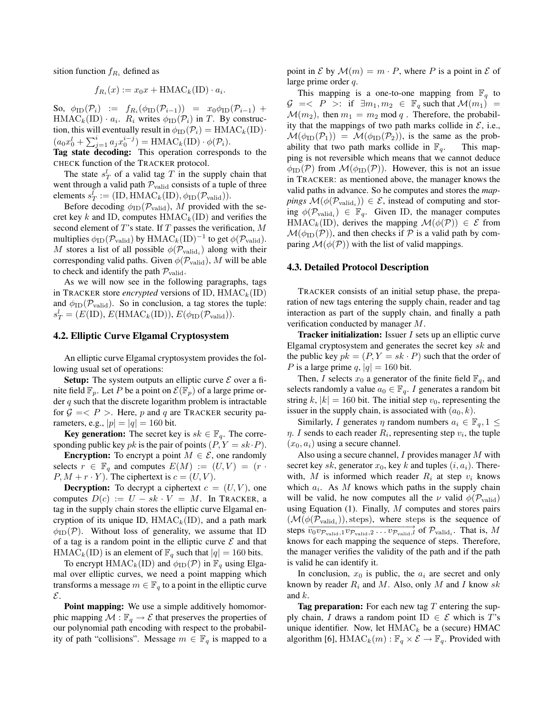sition function  $f_{R_i}$  defined as

$$
f_{R_i}(x) := x_0 x + \text{HMAC}_k(\text{ID}) \cdot a_i.
$$

So,  $\phi_{\text{ID}}(\mathcal{P}_i)$  :=  $f_{R_i}(\phi_{\text{ID}}(\mathcal{P}_{i-1}))$  =  $x_0\phi_{\text{ID}}(\mathcal{P}_{i-1})$  +  $HMAC_k(ID) \cdot a_i$ .  $R_i$  writes  $\phi_{ID}(\mathcal{P}_i)$  in T. By construction, this will eventually result in  $\phi_{\text{ID}}(\mathcal{P}_i) = \text{HMAC}_k(\text{ID}) \cdot$  $(a_0x_0^l + \sum_{j=1}^i a_jx_0^{i-j}) = \text{HMAC}_k(\text{ID}) \cdot \phi(\mathcal{P}_i).$ 

Tag state decoding: This operation corresponds to the CHECK function of the TRACKER protocol.

The state  $s_T^l$  of a valid tag T in the supply chain that went through a valid path  $P_{valid}$  consists of a tuple of three elements  $s_T^l := (ID, HMAC_k(ID), \phi_{ID}(P_{valid})).$ 

Before decoding  $\phi_{\text{ID}}(\mathcal{P}_{\text{valid}})$ , M provided with the secret key k and ID, computes  $HMAC_k(ID)$  and verifies the second element of  $T$ 's state. If  $T$  passes the verification,  $M$ multiplies  $\phi_{\text{ID}}(\mathcal{P}_{\text{valid}})$  by  $\text{HMAC}_k(\text{ID})^{-1}$  to get  $\phi(\mathcal{P}_{\text{valid}})$ . M stores a list of all possible  $\phi(\mathcal{P}_{valid_i})$  along with their corresponding valid paths. Given  $\phi(\mathcal{P}_{valid})$ , M will be able to check and identify the path  $P_{\text{valid}}$ .

As we will now see in the following paragraphs, tags in TRACKER store *encrypted* versions of ID,  $HMAC_k(ID)$ and  $\phi_{\text{ID}}(\mathcal{P}_{\text{valid}})$ . So in conclusion, a tag stores the tuple:  $s_T^l = (E(ID), E(HMAC_k(ID)), E(\phi_{ID}(P_{valid})).$ 

#### 4.2. Elliptic Curve Elgamal Cryptosystem

An elliptic curve Elgamal cryptosystem provides the following usual set of operations:

**Setup:** The system outputs an elliptic curve  $\mathcal{E}$  over a finite field  $\mathbb{F}_p$ . Let P be a point on  $\mathcal{E}(\mathbb{F}_p)$  of a large prime order  $q$  such that the discrete logarithm problem is intractable for  $\mathcal{G} = \langle P \rangle$ . Here, p and q are TRACKER security parameters, e.g.,  $|p| = |q| = 160$  bit.

**Key generation:** The secret key is  $sk \in \mathbb{F}_q$ . The corresponding public key pk is the pair of points  $(P, Y = sk \cdot P)$ .

**Encryption:** To encrypt a point  $M \in \mathcal{E}$ , one randomly selects  $r \in \mathbb{F}_q$  and computes  $E(M) := (U, V) = (r \cdot$  $P, M + r \cdot Y$ ). The ciphertext is  $c = (U, V)$ .

**Decryption:** To decrypt a ciphertext  $c = (U, V)$ , one computes  $D(c) := U - sk \cdot V = M$ . In TRACKER, a tag in the supply chain stores the elliptic curve Elgamal encryption of its unique ID,  $HMAC_k(ID)$ , and a path mark  $\phi_{\text{ID}}(\mathcal{P})$ . Without loss of generality, we assume that ID of a tag is a random point in the elliptic curve  $\mathcal E$  and that HMAC<sub>k</sub>(ID) is an element of  $\mathbb{F}_q$  such that  $|q| = 160$  bits.

To encrypt HMAC<sub>k</sub>(ID) and  $\phi_{\text{ID}}(\mathcal{P})$  in  $\mathbb{F}_q$  using Elgamal over elliptic curves, we need a point mapping which transforms a message  $m \in \mathbb{F}_q$  to a point in the elliptic curve E.

Point mapping: We use a simple additively homomorphic mapping  $\mathcal{M} : \mathbb{F}_q \to \mathcal{E}$  that preserves the properties of our polynomial path encoding with respect to the probability of path "collisions". Message  $m \in \mathbb{F}_q$  is mapped to a point in  $\mathcal E$  by  $\mathcal M(m) = m \cdot P$ , where P is a point in  $\mathcal E$  of large prime order q.

This mapping is a one-to-one mapping from  $\mathbb{F}_q$  to  $G = \langle P \rangle$ : if  $\exists m_1, m_2 \in \mathbb{F}_q$  such that  $\mathcal{M}(m_1) =$  $\mathcal{M}(m_2)$ , then  $m_1 = m_2 \mod q$ . Therefore, the probability that the mappings of two path marks collide in  $\mathcal{E}$ , i.e.,  $\mathcal{M}(\phi_{\text{ID}}(\mathcal{P}_1)) = \mathcal{M}(\phi_{\text{ID}}(\mathcal{P}_2))$ , is the same as the probability that two path marks collide in  $\mathbb{F}_q$ . This mapping is not reversible which means that we cannot deduce  $\phi_{\text{ID}}(\mathcal{P})$  from  $\mathcal{M}(\phi_{\text{ID}}(\mathcal{P}))$ . However, this is not an issue in TRACKER: as mentioned above, the manager knows the valid paths in advance. So he computes and stores the *map* $pings \ \mathcal{M}(\phi(\mathcal{P}_{valid_i})) \in \mathcal{E}$ , instead of computing and storing  $\phi(\mathcal{P}_{valid_i}) \in \mathbb{F}_q$ . Given ID, the manager computes HMAC<sub>k</sub>(ID), derives the mapping  $\mathcal{M}(\phi(\mathcal{P})) \in \mathcal{E}$  from  $\mathcal{M}(\phi_{\text{ID}}(\mathcal{P}))$ , and then checks if  $\mathcal P$  is a valid path by comparing  $\mathcal{M}(\phi(\mathcal{P}))$  with the list of valid mappings.

#### 4.3. Detailed Protocol Description

TRACKER consists of an initial setup phase, the preparation of new tags entering the supply chain, reader and tag interaction as part of the supply chain, and finally a path verification conducted by manager M.

**Tracker initialization:** Issuer  $I$  sets up an elliptic curve Elgamal cryptosystem and generates the secret key  $sk$  and the public key  $pk = (P, Y = sk \cdot P)$  such that the order of P is a large prime  $q$ ,  $|q| = 160$  bit.

Then, I selects  $x_0$  a generator of the finite field  $\mathbb{F}_q$ , and selects randomly a value  $a_0 \in \mathbb{F}_q$ . I generates a random bit string k,  $|k| = 160$  bit. The initial step  $v_0$ , representing the issuer in the supply chain, is associated with  $(a_0, k)$ .

Similarly, I generates  $\eta$  random numbers  $a_i \in \mathbb{F}_q$ ,  $1 \leq$  $\eta$ . I sends to each reader  $R_i$ , representing step  $v_i$ , the tuple  $(x_0, a_i)$  using a secure channel.

Also using a secure channel, I provides manager M with secret key sk, generator  $x_0$ , key k and tuples  $(i, a_i)$ . Therewith, M is informed which reader  $R_i$  at step  $v_i$  knows which  $a_i$ . As M knows which paths in the supply chain will be valid, he now computes all the  $\nu$  valid  $\phi(\mathcal{P}_{valid})$ using Equation  $(1)$ . Finally, M computes and stores pairs  $(\mathcal{M}(\phi(\mathcal{P}_{valid}_i)),$  steps), where steps is the sequence of steps  $\overline{v_0 v_{\text{Pauli},1} v_{\text{Pauli},2} \dots v_{\text{Pauli},l}}}$  of  $\mathcal{P}_{\text{valid}_i}$ . That is, M knows for each mapping the sequence of steps. Therefore, the manager verifies the validity of the path and if the path is valid he can identify it.

In conclusion,  $x_0$  is public, the  $a_i$  are secret and only known by reader  $R_i$  and M. Also, only M and I know sk and k.

**Tag preparation:** For each new tag  $T$  entering the supply chain, I draws a random point ID  $\in \mathcal{E}$  which is T's unique identifier. Now, let  $HMAC<sub>k</sub>$  be a (secure) HMAC algorithm [6], HMAC<sub>k</sub> $(m)$ :  $\mathbb{F}_q \times \mathcal{E} \rightarrow \mathbb{F}_q$ . Provided with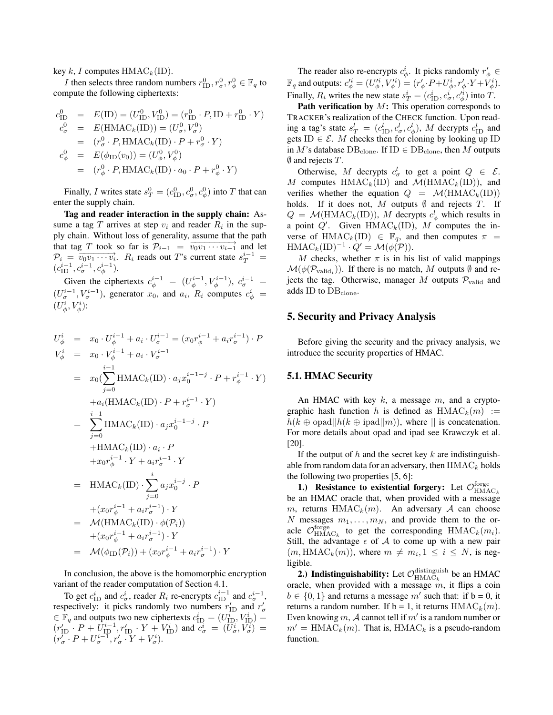key k, I computes  $HMAC_k(ID)$ .

*I* then selects three random numbers  $r_{\text{ID}}^0, r_{\sigma}^0, r_{\phi}^0 \in \mathbb{F}_q$  to compute the following ciphertexts:

$$
c_{\text{ID}}^{0} = E(\text{ID}) = (U_{\text{ID}}^{0}, V_{\text{ID}}^{0}) = (r_{\text{ID}}^{0} \cdot P, \text{ID} + r_{\text{ID}}^{0} \cdot Y)
$$
  
\n
$$
c_{\sigma}^{0} = E(\text{HMAC}_{k}(\text{ID})) = (U_{\sigma}^{0}, V_{\sigma}^{0})
$$
  
\n
$$
= (r_{\sigma}^{0} \cdot P, \text{HMAC}_{k}(\text{ID}) \cdot P + r_{\sigma}^{0} \cdot Y)
$$
  
\n
$$
c_{\phi}^{0} = E(\phi_{\text{ID}}(v_{0})) = (U_{\phi}^{0}, V_{\phi}^{0})
$$
  
\n
$$
= (r_{\phi}^{0} \cdot P, \text{HMAC}_{k}(\text{ID}) \cdot a_{0} \cdot P + r_{\phi}^{0} \cdot Y)
$$

Finally, I writes state  $s_T^0 = (c_{\text{ID}}^0, c_{\sigma}^0, c_{\phi}^0)$  into T that can enter the supply chain.

Tag and reader interaction in the supply chain: Assume a tag T arrives at step  $v_i$  and reader  $R_i$  in the supply chain. Without loss of generality, assume that the path that tag T took so far is  $\mathcal{P}_{i-1} = \overline{v_0 v_1 \cdots v_{i-1}}$  and let  $\mathcal{P}_i = \overrightarrow{v_0v_1 \cdots v_i}$ .  $R_i$  reads out T's current state  $s_T^{i-1}$  $(c_{\text{ID}}^{i-1},c_{\sigma}^{i-1},c_{\phi}^{i-1}).$ 

Given the ciphertexts  $c_{\phi}^{i-1} = (U_{\phi}^{i-1}, V_{\phi}^{i-1}), c_{\sigma}^{i-1} =$  $(U_{\sigma}^{i-1}, V_{\sigma}^{i-1})$ , generator  $x_0$ , and  $a_i$ ,  $R_i$  computes  $c_{\phi}^i$  =  $(U^i_\phi, V^i_\phi)$ :

$$
U_{\phi}^{i} = x_{0} \cdot U_{\phi}^{i-1} + a_{i} \cdot U_{\sigma}^{i-1} = (x_{0}r_{\phi}^{i-1} + a_{i}r_{\sigma}^{i-1}) \cdot P
$$
  
\n
$$
V_{\phi}^{i} = x_{0} \cdot V_{\phi}^{i-1} + a_{i} \cdot V_{\sigma}^{i-1}
$$
  
\n
$$
= x_{0}(\sum_{j=0}^{i-1} \text{HMAC}_{k}(\text{ID}) \cdot a_{j}x_{0}^{i-1-j} \cdot P + r_{\phi}^{i-1} \cdot Y)
$$
  
\n
$$
+ a_{i}(\text{HMAC}_{k}(\text{ID}) \cdot P + r_{\sigma}^{i-1} \cdot Y)
$$
  
\n
$$
= \sum_{j=0}^{i-1} \text{HMAC}_{k}(\text{ID}) \cdot a_{j}x_{0}^{i-1-j} \cdot P
$$
  
\n
$$
+ \text{HMAC}_{k}(\text{ID}) \cdot a_{i} \cdot P
$$
  
\n
$$
+ x_{0}r_{\phi}^{i-1} \cdot Y + a_{i}r_{\sigma}^{i-1} \cdot Y
$$
  
\n
$$
= \text{HMAC}_{k}(\text{ID}) \cdot \sum_{j=0}^{i} a_{j}x_{0}^{i-j} \cdot P
$$
  
\n
$$
+ (x_{0}r_{\phi}^{i-1} + a_{i}r_{\sigma}^{i-1}) \cdot Y
$$
  
\n
$$
= \mathcal{M}(\text{HMAC}_{k}(\text{ID}) \cdot \phi(P_{i}))
$$
  
\n
$$
+ (x_{0}r_{\phi}^{i-1} + a_{i}r_{\sigma}^{i-1}) \cdot Y
$$
  
\n
$$
= \mathcal{M}(\phi_{\text{ID}}(P_{i})) + (x_{0}r_{\phi}^{i-1} + a_{i}r_{\sigma}^{i-1}) \cdot Y
$$

In conclusion, the above is the homomorphic encryption variant of the reader computation of Section 4.1.

To get  $c_{\text{ID}}^i$  and  $c_{\sigma}^i$ , reader  $R_i$  re-encrypts  $c_{\text{ID}}^{i-1}$  and  $c_{\sigma}^{i-1}$ , respectively: it picks randomly two numbers  $r'_{\text{ID}}$  and  $r'_{\sigma}$  $\in \mathbb{F}_q$  and outputs two new ciphertexts  $c_{\text{ID}}^i = (U_{\text{ID}}^i, V_{\text{ID}}^i) =$  $(r'_{\text{ID}} \cdot P + U_{\text{ID}}^{i-1}, r'_{\text{ID}} \cdot Y + V_{\text{ID}}^{i})$  and  $c_{\sigma}^{i} = (U_{\sigma}^{i}, V_{\sigma}^{i})$  $(r'_{\sigma} \cdot P + U_{\sigma}^{i-1}, r'_{\sigma} \cdot Y + V_{\sigma}^{i}).$ 

The reader also re-encrypts  $c^i_\phi$ . It picks randomly  $r'_\phi \in$  $\mathbb{F}_q$  and outputs:  $c_{\phi}^{'i} = (U_{\phi}^{'i}, V_{\phi}^{'i}) = (r_{\phi}^{'}.P + U_{\phi}^i, r_{\phi}^{'}.Y + V_{\phi}^i).$ Finally,  $R_i$  writes the new state  $s_T^i = (c_{\text{ID}}^i, c_{\sigma}^i, c_{\phi}^i)$  into T.

**Path verification by**  $M$ **:** This operation corresponds to TRACKER's realization of the CHECK function. Upon reading a tag's state  $s_T^l = (c_{\text{ID}}^l, c_{\sigma}^l, c_{\phi}^l)$ , M decrypts  $c_{\text{ID}}^l$  and gets ID  $\in \mathcal{E}$ . *M* checks then for cloning by looking up ID in M's database  $DB_{clone}$ . If ID  $\in DB_{clone}$ , then M outputs  $\emptyset$  and rejects T.

Otherwise, M decrypts  $c^l_\sigma$  to get a point  $Q \in \mathcal{E}$ . M computes  $HMAC_k(ID)$  and  $M(HMAC_k(ID))$ , and verifies whether the equation  $Q = \mathcal{M}(\text{HMAC}_k(\text{ID}))$ holds. If it does not, M outputs  $\emptyset$  and rejects T. If  $Q = \mathcal{M}(\text{HMAC}_k(\text{ID}))$ , M decrypts  $c^l_{\phi}$  which results in a point  $Q'$ . Given HMAC<sub>k</sub>(ID), M computes the inverse of HMAC<sub>k</sub>(ID)  $\in$   $\mathbb{F}_q$ , and then computes  $\pi$  =  $\text{HMAC}_k(\text{ID})^{-1} \cdot Q' = \mathcal{M}(\phi(\mathcal{P})).$ 

M checks, whether  $\pi$  is in his list of valid mappings  $\mathcal{M}(\phi(\mathcal{P}_{\text{valid}_i}))$ . If there is no match, M outputs  $\emptyset$  and rejects the tag. Otherwise, manager M outputs  $\mathcal{P}_{valid}$  and adds ID to DB<sub>clone</sub>.

### 5. Security and Privacy Analysis

Before giving the security and the privacy analysis, we introduce the security properties of HMAC.

### 5.1. HMAC Security

An HMAC with key  $k$ , a message  $m$ , and a cryptographic hash function h is defined as  $HMAC<sub>k</sub>(m) :=$  $h(k \oplus \text{opad} \vert \vert h(k \oplus \text{ipad} \vert \vert m))$ , where  $\vert \vert$  is concatenation. For more details about opad and ipad see Krawczyk et al. [20].

If the output of h and the secret key  $k$  are indistinguishable from random data for an adversary, then  $HMAC_k$  holds the following two properties [5, 6]:

1.) Resistance to existential forgery: Let  $\mathcal{O}_{\text{HMAC}_k}^{\text{forge}}$ be an HMAC oracle that, when provided with a message m, returns HMAC<sub>k</sub> $(m)$ . An adversary A can choose N messages  $m_1, \ldots, m_N$ , and provide them to the oracle  $\mathcal{O}_{\text{HMAC}_k}^{\text{forge}}$  to get the corresponding  $\text{HMAC}_k(m_i)$ . Still, the advantage  $\epsilon$  of A to come up with a new pair  $(m, \text{HMAC}_k(m))$ , where  $m \neq m_i, 1 \leq i \leq N$ , is negligible.

**2.)** Indistinguishability: Let  $\mathcal{O}_{\text{HMAC}_k}^{\text{distinguish}}$  be an HMAC oracle, when provided with a message  $m$ , it flips a coin  $b \in \{0, 1\}$  and returns a message m' such that: if  $b = 0$ , it returns a random number. If  $b = 1$ , it returns  $HMAC<sub>k</sub>(m)$ . Even knowing m, A cannot tell if  $m'$  is a random number or  $m' = \text{HMAC}_k(m)$ . That is,  $\text{HMAC}_k$  is a pseudo-random function.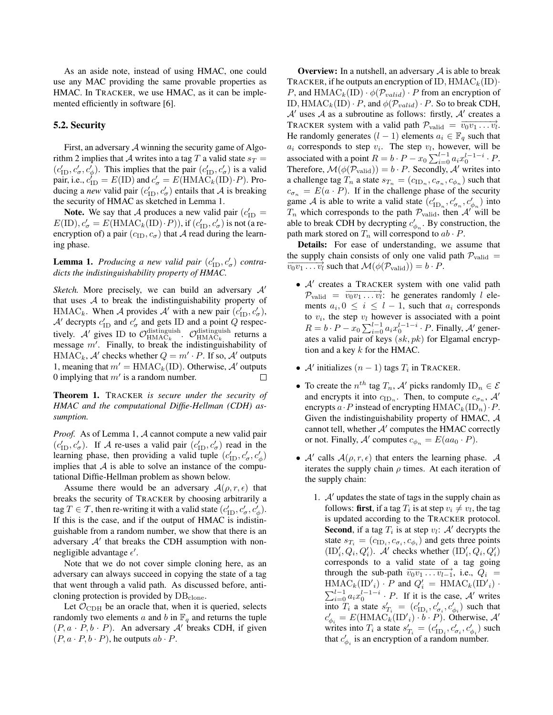As an aside note, instead of using HMAC, one could use any MAC providing the same provable properties as HMAC. In TRACKER, we use HMAC, as it can be implemented efficiently in software [6].

#### 5.2. Security

First, an adversary  $A$  winning the security game of Algorithm 2 implies that A writes into a tag T a valid state  $s_T =$  $(c'_{\text{ID}}, c'_{\sigma}, c'_{\phi})$ . This implies that the pair  $(c'_{\text{ID}}, c'_{\sigma})$  is a valid pair, i.e.,  $c_{\text{ID}}^{\dagger} = E(\text{ID})$  and  $c_{\sigma}^{\dagger} = E(\text{HMAC}_{k}(\text{ID})\cdot P)$ . Producing a *new* valid pair  $(c'_{\text{ID}}, c'_{\sigma})$  entails that A is breaking the security of HMAC as sketched in Lemma 1.

**Note.** We say that A produces a new valid pair  $(c'_{\text{ID}} =$  $E(\mathrm{ID}), c_{\sigma}' = E(\mathrm{HMAC}_k(\mathrm{ID})\cdot P)),$  if  $(c'_{\mathrm{ID}}, c'_{\sigma})$  is not (a reencryption of) a pair  $(c_{ID}, c_{\sigma})$  that A read during the learning phase.

**Lemma 1.** *Producing a new valid pair*  $(c'_{\text{ID}}, c'_{\sigma})$  *contradicts the indistinguishability property of HMAC.*

*Sketch.* More precisely, we can build an adversary  $A<sup>1</sup>$ that uses  $A$  to break the indistinguishability property of HMAC<sub>k</sub>. When A provides A' with a new pair  $(c'_{\text{ID}}, c'_{\sigma})$ ,  $\mathcal{A}'$  decrypts  $c'_{\text{ID}}$  and  $c'_{\sigma}$  and gets ID and a point Q respectively. A' gives ID to  $\mathcal{O}_{\text{HMAC}_k}^{\text{distinguish}}$ .  $\mathcal{O}_{\text{HMAC}_k}^{\text{distinguish}}$  returns a message  $m'$ . Finally, to break the indistinguishability of  $HMAC<sub>k</sub>$ , A' checks whether  $Q = m' \cdot P$ . If so, A' outputs 1, meaning that  $m' = \text{HMAC}_k(\text{ID})$ . Otherwise, A' outputs 0 implying that  $m'$  is a random number.  $\Box$ 

Theorem 1. TRACKER *is secure under the security of HMAC and the computational Diffie-Hellman (CDH) assumption.*

*Proof.* As of Lemma 1, A cannot compute a new valid pair  $(c'_{\text{ID}}, c'_{\sigma})$ . If A re-uses a valid pair  $(c'_{\text{ID}}, c'_{\sigma})$  read in the learning phase, then providing a valid tuple  $(c'_{\text{ID}}, c'_{\sigma}, c'_{\phi})$ implies that  $A$  is able to solve an instance of the computational Diffie-Hellman problem as shown below.

Assume there would be an adversary  $A(\rho, r, \epsilon)$  that breaks the security of TRACKER by choosing arbitrarily a tag  $T \in \mathcal{T}$ , then re-writing it with a valid state  $(c'_{\text{ID}}, c'_{\sigma}, c'_{\phi})$ . If this is the case, and if the output of HMAC is indistinguishable from a random number, we show that there is an adversary  $A'$  that breaks the CDH assumption with nonnegligible advantage  $\epsilon'$ .

Note that we do not cover simple cloning here, as an adversary can always succeed in copying the state of a tag that went through a valid path. As discussed before, anticloning protection is provided by DB<sub>clone</sub>.

Let  $\mathcal{O}_{CDH}$  be an oracle that, when it is queried, selects randomly two elements a and b in  $\mathbb{F}_q$  and returns the tuple  $(P, a \cdot P, b \cdot P)$ . An adversary A' breaks CDH, if given  $(P, a \cdot P, b \cdot P)$ , he outputs  $ab \cdot P$ .

**Overview:** In a nutshell, an adversary  $A$  is able to break TRACKER, if he outputs an encryption of ID,  $HMAC_k(ID)$ . P, and  $\text{HMAC}_k(\text{ID}) \cdot \phi(\mathcal{P}_{valid}) \cdot P$  from an encryption of ID,  $HMAC_k(ID) \cdot P$ , and  $\phi(\mathcal{P}_{valid}) \cdot P$ . So to break CDH,  $A'$  uses A as a subroutine as follows: firstly,  $A'$  creates a TRACKER system with a valid path  $\mathcal{P}_{valid} = \overrightarrow{v_0v_1 \dots v_l}$ . He randomly generates  $(l - 1)$  elements  $a_i \in \mathbb{F}_q$  such that  $a_i$  corresponds to step  $v_i$ . The step  $v_i$ , however, will be associated with a point  $R = b \cdot P - x_0 \sum_{i=0}^{l-1} a_i x_0^{l-1-i} \cdot P$ . Therefore,  $\mathcal{M}(\phi(\mathcal{P}_{valid})) = b \cdot P$ . Secondly,  $\mathcal{A}'$  writes into a challenge tag  $T_n$  a state  $s_{T_n} = (c_{\text{ID}_n}, c_{\sigma_n}, c_{\phi_n})$  such that  $c_{\sigma_n} = E(a \cdot P)$ . If in the challenge phase of the security game A is able to write a valid state  $(c'_{\text{ID}_n}, c'_{\sigma_n}, c'_{\phi_n})$  into  $T_n$  which corresponds to the path  $\mathcal{P}_{valid}$ , then  $\mathcal{A}'$  will be able to break CDH by decrypting  $c'_{\phi_n}$ . By construction, the path mark stored on  $T_n$  will correspond to  $ab \cdot P$ .

Details: For ease of understanding, we assume that the supply chain consists of only one valid path  $P_{valid}$  =  $\overrightarrow{v_0v_1 \dots v_l}$  such that  $\mathcal{M}(\phi(\mathcal{P}_{valid})) = b \cdot P$ .

- $\bullet$   $A'$  creates a TRACKER system with one valid path  $\mathcal{P}_{\text{valid}} = \overline{v_0 v_1 \dots v_l}$ : he generates randomly l elements  $a_i, 0 \le i \le l-1$ , such that  $a_i$  corresponds to  $v_i$ , the step  $v_i$  however is associated with a point  $R = b \cdot P - x_0 \sum_{i=0}^{l-1} a_i x_0^{l-1-i} \cdot P$ . Finally, A' generates a valid pair of keys  $(sk, pk)$  for Elgamal encryption and a key  $k$  for the HMAC.
- A' initializes  $(n 1)$  tags  $T_i$  in TRACKER.
- To create the  $n^{th}$  tag  $T_n$ , A' picks randomly  $ID_n \in \mathcal{E}$ and encrypts it into  $c_{\text{ID}_n}$ . Then, to compute  $c_{\sigma_n}$ , A' encrypts  $a \cdot P$  instead of encrypting  $HMAC_k(ID_n) \cdot P$ . Given the indistinguishability property of HMAC, A cannot tell, whether  $A'$  computes the HMAC correctly or not. Finally, A' computes  $c_{\phi_n} = E(aa_0 \cdot P)$ .
- A' calls  $A(\rho, r, \epsilon)$  that enters the learning phase. A iterates the supply chain  $\rho$  times. At each iteration of the supply chain:
	- 1.  $A'$  updates the state of tags in the supply chain as follows: **first**, if a tag  $T_i$  is at step  $v_i \neq v_l$ , the tag is updated according to the TRACKER protocol. **Second**, if a tag  $T_i$  is at step  $v_i$ : A' decrypts the state  $s_{T_i} = (c_{\text{ID}_i}, c_{\sigma_i}, c_{\phi_i})$  and gets three points  $(ID'_i, Q_i, Q'_i)$ . A' checks whether  $(ID'_i, Q_i, Q'_i)$ corresponds to a valid state of a tag going through the sub-path  $\overrightarrow{v_0v_1 \ldots v_{l-1}}$ , i.e.,  $Q_i$  =  $\text{HMAC}_k(\text{ID'}_i) \cdot P$  and  $Q'_i = \text{HMAC}_k(\text{ID'}_i) \cdot P$  $\sum_{i=0}^{l-1} a_i x_0^{l-1-i} \cdot P$ . If it is the case, A' writes into  $T_i$  a state  $s'_{T_i} = (c'_{\text{ID}_i}, c'_{\sigma_i}, c'_{\phi_i})$  such that  $c'_{\phi_i} = E(\text{HMAC}_k(\text{ID'}_i) \cdot b \cdot P)$ . Otherwise, A' writes into  $T_i$  a state  $s'_{T_i} = (c'_{\text{ID}_i}, c'_{\sigma_i}, c'_{\phi_i})$  such that  $c'_{\phi_i}$  is an encryption of a random number.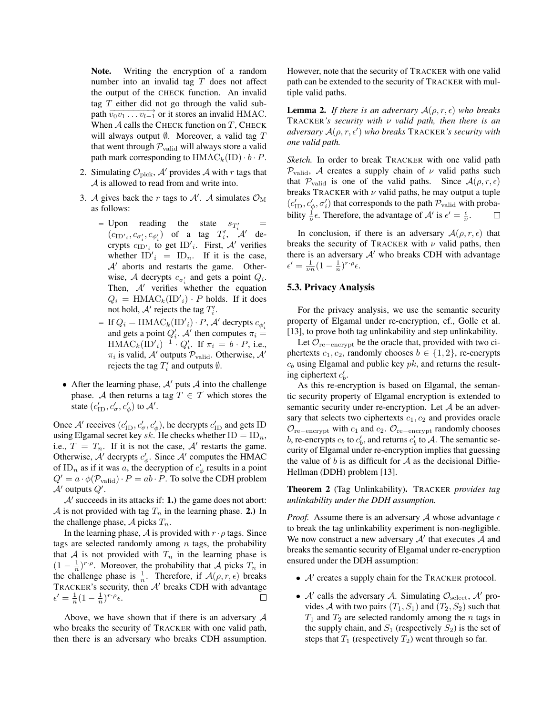Note. Writing the encryption of a random number into an invalid tag T does not affect the output of the CHECK function. An invalid tag  $T$  either did not go through the valid subpath  $\overrightarrow{v_0v_1 \ldots v_{l-1}}$  or it stores an invalid HMAC. When  $A$  calls the CHECK function on  $T$ , CHECK will always output  $\emptyset$ . Moreover, a valid tag T that went through  $P_{valid}$  will always store a valid path mark corresponding to  $\text{HMAC}_k(\text{ID}) \cdot b \cdot P$ .

- 2. Simulating  $\mathcal{O}_{\text{pick}}$ , A' provides A with r tags that A is allowed to read from and write into.
- 3. A gives back the r tags to A'. A simulates  $\mathcal{O}_{\text{M}}$ as follows:
	- Upon reading the state  $s_{T_i}$ =  $(c_{\text{ID'}_i}, c_{\sigma'_i}, c_{\phi'_i})$  of a tag  $T'_i$ ,  $\mathcal{A}'$  decrypts  $c_{ID'_i}$  to get  $ID'_i$ . First, A' verifies whether  $ID'_i = ID_n$ . If it is the case,  $A'$  aborts and restarts the game. Otherwise, A decrypts  $c_{\sigma'_i}$  and gets a point  $Q_i$ . Then,  $A'$  verifies whether the equation  $Q_i = \text{HMAC}_k(\text{ID'}_i) \cdot P$  holds. If it does not hold,  $A'$  rejects the tag  $T'_i$ .
	- If  $Q_i = \text{HMAC}_k(\text{ID'}_i) \cdot P$ , A' decrypts  $c_{\phi'_i}$ and gets a point  $Q'_i$ . A' then computes  $\pi_i =$  $\text{HMAC}_k(\text{ID'}_i)^{-1} \cdot Q'_i$ . If  $\pi_i = b \cdot P$ , i.e.,  $\pi_i$  is valid, A' outputs  $P_{valid}$ . Otherwise, A' rejects the tag  $T_i'$  and outputs  $\emptyset$ .
- After the learning phase,  $A'$  puts  $A$  into the challenge phase. A then returns a tag  $T \in \mathcal{T}$  which stores the state  $(c'_{\text{ID}}, c'_{\sigma}, c'_{\phi})$  to  $\mathcal{A}'$ .

Once A' receives  $(c'_{\text{ID}}, c'_{\sigma}, c'_{\phi})$ , he decrypts  $c'_{\text{ID}}$  and gets ID using Elgamal secret key sk. He checks whether  $ID = ID_n$ , i.e.,  $T = T_n$ . If it is not the case,  $A'$  restarts the game. Otherwise, A' decrypts  $c'_{\phi}$ . Since A' computes the HMAC of ID<sub>n</sub> as if it was a, the decryption of  $c'_{\phi}$  results in a point  $Q' = a \cdot \phi(\mathcal{P}_{valid}) \cdot P = ab \cdot P$ . To solve the CDH problem  $\mathcal{A}'$  outputs  $Q'$ .

 $A'$  succeeds in its attacks if: 1.) the game does not abort: A is not provided with tag  $T_n$  in the learning phase. 2.) In the challenge phase, A picks  $T_n$ .

In the learning phase, A is provided with  $r \cdot \rho$  tags. Since tags are selected randomly among  $n$  tags, the probability that A is not provided with  $T_n$  in the learning phase is  $(1 - \frac{1}{n})^{r \cdot \rho}$ . Moreover, the probability that A picks  $T_n$  in the challenge phase is  $\frac{1}{n}$ . Therefore, if  $\mathcal{A}(\rho, r, \epsilon)$  breaks TRACKER's security, then  $A'$  breaks CDH with advantage  $\epsilon' = \frac{1}{n}(1 - \frac{1}{n})^{r \cdot \rho} \epsilon.$ □

Above, we have shown that if there is an adversary  $A$ who breaks the security of TRACKER with one valid path, then there is an adversary who breaks CDH assumption. However, note that the security of TRACKER with one valid path can be extended to the security of TRACKER with multiple valid paths.

**Lemma 2.** *If there is an adversary*  $A(\rho, r, \epsilon)$  *who breaks* TRACKER*'s security with* ν *valid path, then there is an*  $adversary A(\rho, r, \epsilon')$  who breaks TRACKER's security with *one valid path.*

*Sketch.* In order to break TRACKER with one valid path  $\mathcal{P}_{valid}$ , A creates a supply chain of  $\nu$  valid paths such that  $\mathcal{P}_{valid}$  is one of the valid paths. Since  $\mathcal{A}(\rho, r, \epsilon)$ breaks TRACKER with  $\nu$  valid paths, he may output a tuple  $(c'_{\text{ID}}, c'_{\phi}, \sigma'_{i})$  that corresponds to the path  $\mathcal{P}_{\text{valid}}$  with probability  $\frac{1}{\nu} \epsilon$ . Therefore, the advantage of  $\mathcal{A}'$  is  $\epsilon' = \frac{\epsilon}{\nu}$ .  $\Box$ 

In conclusion, if there is an adversary  $\mathcal{A}(\rho, r, \epsilon)$  that breaks the security of TRACKER with  $\nu$  valid paths, then there is an adversary  $A'$  who breaks CDH with advantage  $\epsilon' = \frac{1}{\nu n} (1 - \frac{1}{n})^{r \cdot \rho} \epsilon.$ 

### 5.3. Privacy Analysis

For the privacy analysis, we use the semantic security property of Elgamal under re-encryption, cf., Golle et al. [13], to prove both tag unlinkability and step unlinkability.

Let  $\mathcal{O}_{\text{re}-\text{encrypt}}$  be the oracle that, provided with two ciphertexts  $c_1, c_2$ , randomly chooses  $b \in \{1, 2\}$ , re-encrypts  $c_b$  using Elgamal and public key  $pk$ , and returns the resulting ciphertext  $c'_b$ .

As this re-encryption is based on Elgamal, the semantic security property of Elgamal encryption is extended to semantic security under re-encryption. Let  $A$  be an adversary that selects two ciphertexts  $c_1$ ,  $c_2$  and provides oracle  $\mathcal{O}_{\text{re}-\text{encrypt}}$  with  $c_1$  and  $c_2$ .  $\mathcal{O}_{\text{re}-\text{encrypt}}$  randomly chooses b, re-encrypts  $c_b$  to  $c'_b$ , and returns  $c'_b$  to A. The semantic security of Elgamal under re-encryption implies that guessing the value of  $b$  is as difficult for  $A$  as the decisional Diffie-Hellman (DDH) problem [13].

Theorem 2 (Tag Unlinkability). TRACKER *provides tag unlinkability under the DDH assumption.*

*Proof.* Assume there is an adversary A whose advantage  $\epsilon$ to break the tag unlinkability experiment is non-negligible. We now construct a new adversary  $A'$  that executes  $A$  and breaks the semantic security of Elgamal under re-encryption ensured under the DDH assumption:

- $\bullet$   $A'$  creates a supply chain for the TRACKER protocol.
- $A'$  calls the adversary A. Simulating  $\mathcal{O}_{\text{select}}$ , A' provides A with two pairs  $(T_1, S_1)$  and  $(T_2, S_2)$  such that  $T_1$  and  $T_2$  are selected randomly among the *n* tags in the supply chain, and  $S_1$  (respectively  $S_2$ ) is the set of steps that  $T_1$  (respectively  $T_2$ ) went through so far.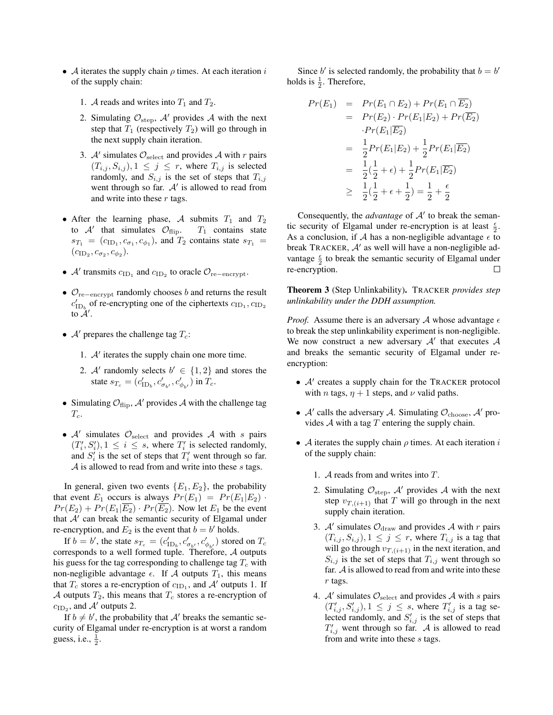- A iterates the supply chain  $\rho$  times. At each iteration i of the supply chain:
	- 1. A reads and writes into  $T_1$  and  $T_2$ .
	- 2. Simulating  $\mathcal{O}_{step}$ ,  $\mathcal{A}'$  provides  $\mathcal{A}$  with the next step that  $T_1$  (respectively  $T_2$ ) will go through in the next supply chain iteration.
	- 3. A' simulates  $\mathcal{O}_{select}$  and provides A with r pairs  $(T_{i,j}, S_{i,j}), 1 \leq j \leq r$ , where  $T_{i,j}$  is selected randomly, and  $S_{i,j}$  is the set of steps that  $T_{i,j}$ went through so far.  $A'$  is allowed to read from and write into these  $r$  tags.
- After the learning phase, A submits  $T_1$  and  $T_2$ to  $A'$  that simulates  $\mathcal{O}_{\text{flip}}$ .  $T_1$  contains state  $s_{T_1} = (c_{\text{ID}_1}, c_{\sigma_1}, c_{\phi_1})$ , and  $T_2$  contains state  $s_{T_1} =$  $(c_{\text{ID}_2}, c_{\sigma_2}, c_{\phi_2}).$
- $\mathcal{A}'$  transmits  $c_{\text{ID}_1}$  and  $c_{\text{ID}_2}$  to oracle  $\mathcal{O}_{\text{re-energy}}$ .
- $\mathcal{O}_{\text{re}-\text{encrypt}}$  randomly chooses b and returns the result  $c'_{\text{ID}_b}$  of re-encrypting one of the ciphertexts  $c_{\text{ID}_1}, c_{\text{ID}_2}$ to  $\AA'$ .
- $A'$  prepares the challenge tag  $T_c$ :
	- 1.  $A'$  iterates the supply chain one more time.
	- 2. A' randomly selects  $b' \in \{1, 2\}$  and stores the state  $s_{T_c} = (c'_{\text{ID}_b}, c'_{\sigma_{b'}}, c'_{\phi_{b'}})$  in  $T_c$ .
- Simulating  $\mathcal{O}_{\text{flip}}$ , A' provides A with the challenge tag  $T_c$ .
- $A'$  simulates  $\mathcal{O}_{select}$  and provides A with s pairs  $(T_i', S_i'), 1 \leq i \leq s$ , where  $T_i'$  is selected randomly, and  $S_i'$  is the set of steps that  $T_i'$  went through so far.  $A$  is allowed to read from and write into these  $s$  tags.

In general, given two events  ${E_1, E_2}$ , the probability that event  $E_1$  occurs is always  $Pr(E_1) = Pr(E_1|E_2)$ .  $Pr(E_2) + Pr(E_1|\overline{E_2}) \cdot Pr(\overline{E_2})$ . Now let  $E_1$  be the event that  $A'$  can break the semantic security of Elgamal under re-encryption, and  $E_2$  is the event that  $b = b'$  holds.

If  $b = b'$ , the state  $s_{T_c} = (c'_{\text{ID}_b}, c'_{\sigma_{b'}}, c'_{\phi_{b'}})$  stored on  $T_c$ corresponds to a well formed tuple. Therefore, A outputs his guess for the tag corresponding to challenge tag  $T_c$  with non-negligible advantage  $\epsilon$ . If A outputs  $T_1$ , this means that  $T_c$  stores a re-encryption of  $c_{\text{ID}_1}$ , and  $\mathcal{A}'$  outputs 1. If A outputs  $T_2$ , this means that  $T_c$  stores a re-encryption of  $c_{\text{ID}_2}$ , and  $\mathcal{A}'$  outputs 2.

If  $b \neq b'$ , the probability that A' breaks the semantic security of Elgamal under re-encryption is at worst a random guess, i.e.,  $\frac{1}{2}$ .

Since b' is selected randomly, the probability that  $b = b'$ holds is  $\frac{1}{2}$ . Therefore,

$$
Pr(E_1) = Pr(E_1 \cap E_2) + Pr(E_1 \cap E_2)
$$
  
=  $Pr(E_2) \cdot Pr(E_1|E_2) + Pr(\overline{E_2})$   
 $\cdot Pr(E_1|\overline{E_2})$   
=  $\frac{1}{2}Pr(E_1|E_2) + \frac{1}{2}Pr(E_1|\overline{E_2})$   
=  $\frac{1}{2}(\frac{1}{2} + \epsilon) + \frac{1}{2}Pr(E_1|\overline{E_2})$   
 $\geq \frac{1}{2}(\frac{1}{2} + \epsilon + \frac{1}{2}) = \frac{1}{2} + \frac{\epsilon}{2}$ 

Consequently, the *advantage* of  $A'$  to break the semantic security of Elgamal under re-encryption is at least  $\frac{\epsilon}{2}$ . As a conclusion, if A has a non-negligible advantage  $\epsilon$  to break TRACKER,  $A'$  as well will have a non-negligible advantage  $\frac{\epsilon}{2}$  to break the semantic security of Elgamal under re-encryption.  $\Box$ 

Theorem 3 (Step Unlinkability). TRACKER *provides step unlinkability under the DDH assumption.*

*Proof.* Assume there is an adversary A whose advantage  $\epsilon$ to break the step unlinkability experiment is non-negligible. We now construct a new adversary  $A'$  that executes  $A$ and breaks the semantic security of Elgamal under reencryption:

- $\bullet$   $A'$  creates a supply chain for the TRACKER protocol with *n* tags,  $\eta + 1$  steps, and  $\nu$  valid paths.
- $A'$  calls the adversary A. Simulating  $\mathcal{O}_{\text{choose}}$ ,  $A'$  provides  $A$  with a tag  $T$  entering the supply chain.
- A iterates the supply chain  $\rho$  times. At each iteration i of the supply chain:
	- 1. A reads from and writes into T.
	- 2. Simulating  $\mathcal{O}_{step}$ ,  $\mathcal{A}'$  provides  $\mathcal{A}$  with the next step  $v_{T,(i+1)}$  that T will go through in the next supply chain iteration.
	- 3. A' simulates  $\mathcal{O}_{\text{draw}}$  and provides A with r pairs  $(T_{i,j}, S_{i,j}), 1 \leq j \leq r$ , where  $T_{i,j}$  is a tag that will go through  $v_{T,(i+1)}$  in the next iteration, and  $S_{i,j}$  is the set of steps that  $T_{i,j}$  went through so far.  $A$  is allowed to read from and write into these r tags.
	- 4. A' simulates  $\mathcal{O}_{select}$  and provides A with s pairs  $(T'_{i,j}, S'_{i,j}), 1 \leq j \leq s$ , where  $T'_{i,j}$  is a tag selected randomly, and  $S'_{i,j}$  is the set of steps that  $T'_{i,j}$  went through so far. A is allowed to read from and write into these s tags.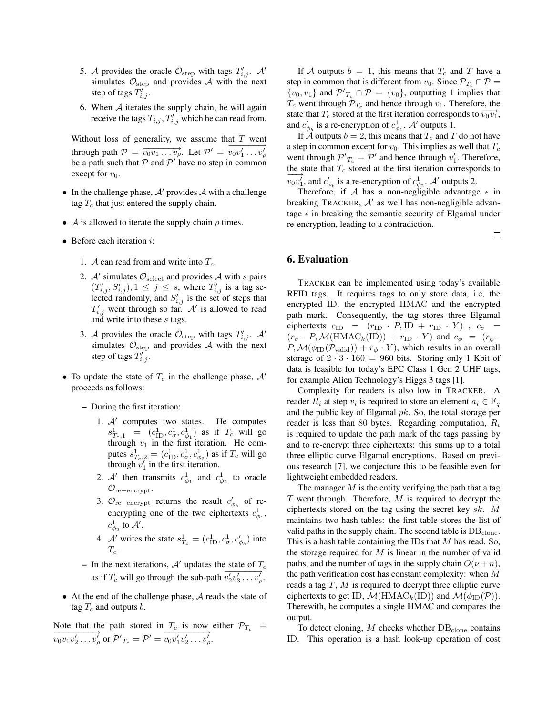- 5. A provides the oracle  $\mathcal{O}_{\text{step}}$  with tags  $T'_{i,j}$ . A' simulates  $\mathcal{O}_{step}$  and provides A with the next step of tags  $T'_{i,j}$ .
- 6. When  $A$  iterates the supply chain, he will again receive the tags  $T_{i,j}$ ,  $T'_{i,j}$  which he can read from.

Without loss of generality, we assume that  $T$  went through path  $P = \overline{v_0 v_1 \dots v_p}$ . Let  $P' = \overline{v_0 v'_1 \dots v'_p}$ be a path such that  $P$  and  $P'$  have no step in common except for  $v_0$ .

- In the challenge phase,  $A'$  provides A with a challenge tag  $T_c$  that just entered the supply chain.
- A is allowed to iterate the supply chain  $\rho$  times.
- Before each iteration  $i$ :
	- 1. A can read from and write into  $T_c$ .
	- 2.  $A'$  simulates  $\mathcal{O}_{select}$  and provides A with s pairs  $(T'_{i,j}, S'_{i,j}), 1 \leq j \leq s$ , where  $T'_{i,j}$  is a tag selected randomly, and  $S'_{i,j}$  is the set of steps that  $T'_{i,j}$  went through so far. A' is allowed to read and write into these s tags.
	- 3. A provides the oracle  $\mathcal{O}_{\text{step}}$  with tags  $T'_{i,j}$ . A' simulates  $\mathcal{O}_{step}$  and provides A with the next step of tags  $T'_{i,j}$ .
- To update the state of  $T_c$  in the challenge phase,  $A<sup>'</sup>$ proceeds as follows:
	- During the first iteration:
		- 1.  $A'$  computes two states. He computes  $s_{T_c,1}^1 = (c_{\text{ID}}^1, c_{\sigma}^1, c_{\phi_1}^1)$  as if  $T_c$  will go through  $v_1$  in the first iteration. He computes  $s_{T_c,2}^1 = (c_{\text{ID}}^1, c_{\sigma}^1, c_{\phi_2}^1)$  as if  $T_c$  will go through  $v'_1$  in the first iteration.
		- 2. A' then transmits  $c_{\phi_1}^1$  and  $c_{\phi_2}^1$  to oracle  $\mathcal{O}_{\text{re-encrypt}}$ .
		- 3.  $\mathcal{O}_{re-encrypt}$  returns the result  $c'_{\phi_b}$  of reencrypting one of the two ciphertexts  $c_{\phi_1}^1$ ,  $c^1_{\phi_2}$  to  $\mathcal{A}'$ .
		- 4. A' writes the state  $s_{T_c}^1 = (c_{\text{ID}}^1, c_{\sigma}^1, c_{\phi_b}^{\prime})$  into  $T_c$ .
	- In the next iterations,  $A'$  updates the state of  $T_c$ as if  $T_c$  will go through the sub-path  $v'_2v'_3 \dots v'_p$ .
- At the end of the challenge phase,  $A$  reads the state of tag  $T_c$  and outputs b.

Note that the path stored in  $T_c$  is now either  $\mathcal{P}_{T_c}$  =  $\frac{\partial^2 u}{\partial v \partial y \partial z \partial x \partial y}$  or P'<sub>T<sub>c</sub></sub> = P' =  $\frac{\partial^2 u}{\partial v' \partial y \partial x \partial y}$ .

If A outputs  $b = 1$ , this means that  $T_c$  and T have a step in common that is different from  $v_0$ . Since  $\mathcal{P}_{T_c} \cap \mathcal{P} =$  $\{v_0, v_1\}$  and  $\mathcal{P'}_{T_c} \cap \mathcal{P} = \{v_0\}$ , outputting 1 implies that  $T_c$  went through  $\mathcal{P}_{T_c}$  and hence through  $v_1$ . Therefore, the state that  $T_c$  stored at the first iteration corresponds to  $\overrightarrow{v_0v_1}$ , and  $c'_{\phi_b}$  is a re-encryption of  $c^1_{\phi_1}$ . A' outputs 1.

If A outputs  $b = 2$ , this means that  $T_c$  and T do not have a step in common except for  $v_0$ . This implies as well that  $T_c$ went through  $\mathcal{P'}_{T_c} = \mathcal{P'}$  and hence through  $v'_1$ . Therefore, the state that  $T_c$  stored at the first iteration corresponds to  $v_0v_1'$ , and  $c'_{\phi_b}$  is a re-encryption of  $c_{\phi_2}^1$ . A' outputs 2.

Therefore, if A has a non-negligible advantage  $\epsilon$  in breaking TRACKER,  $A'$  as well has non-negligible advantage  $\epsilon$  in breaking the semantic security of Elgamal under re-encryption, leading to a contradiction.

 $\Box$ 

### 6. Evaluation

TRACKER can be implemented using today's available RFID tags. It requires tags to only store data, i.e, the encrypted ID, the encrypted HMAC and the encrypted path mark. Consequently, the tag stores three Elgamal ciphertexts  $c_{\text{ID}} = (r_{\text{ID}} \cdot P, \text{ID} + r_{\text{ID}} \cdot Y)$ ,  $c_{\sigma}$  =  $(r_{\sigma} \cdot P, \mathcal{M}(\text{HMAC}_k(\text{ID})) + r_{\text{ID}} \cdot Y)$  and  $c_{\phi} = (r_{\phi} \cdot$  $P, \mathcal{M}(\phi_{\text{ID}}(\mathcal{P}_{\text{valid}})) + r_{\phi} \cdot Y)$ , which results in an overall storage of  $2 \cdot 3 \cdot 160 = 960$  bits. Storing only 1 Kbit of data is feasible for today's EPC Class 1 Gen 2 UHF tags, for example Alien Technology's Higgs 3 tags [1].

Complexity for readers is also low in TRACKER. A reader  $\overline{R}_i$  at step  $v_i$  is required to store an element  $a_i \in \mathbb{F}_q$ and the public key of Elgamal  $pk$ . So, the total storage per reader is less than 80 bytes. Regarding computation,  $R_i$ is required to update the path mark of the tags passing by and to re-encrypt three ciphertexts: this sums up to a total three elliptic curve Elgamal encryptions. Based on previous research [7], we conjecture this to be feasible even for lightweight embedded readers.

The manager  $M$  is the entity verifying the path that a tag  $T$  went through. Therefore,  $M$  is required to decrypt the ciphertexts stored on the tag using the secret key  $sk$ . M maintains two hash tables: the first table stores the list of valid paths in the supply chain. The second table is  $DB<sub>clone</sub>$ . This is a hash table containing the IDs that  $M$  has read. So, the storage required for  $M$  is linear in the number of valid paths, and the number of tags in the supply chain  $O(\nu + n)$ , the path verification cost has constant complexity: when M reads a tag  $T$ ,  $M$  is required to decrypt three elliptic curve ciphertexts to get ID,  $\mathcal{M}(\text{HMAC}_k(\text{ID}))$  and  $\mathcal{M}(\phi_{\text{ID}}(\mathcal{P}))$ . Therewith, he computes a single HMAC and compares the output.

To detect cloning,  $M$  checks whether  $DB_{\text{clone}}$  contains ID. This operation is a hash look-up operation of cost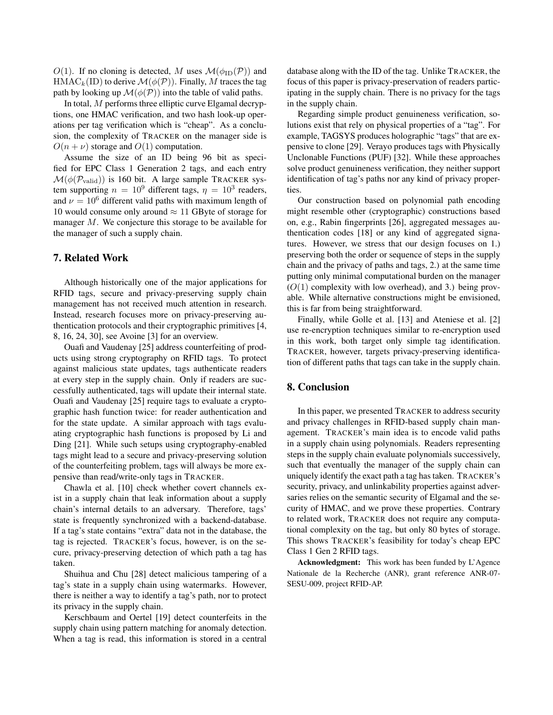$O(1)$ . If no cloning is detected, M uses  $\mathcal{M}(\phi_{\text{ID}}(\mathcal{P}))$  and  $HMAC_k(ID)$  to derive  $\mathcal{M}(\phi(\mathcal{P}))$ . Finally, M traces the tag path by looking up  $\mathcal{M}(\phi(\mathcal{P}))$  into the table of valid paths.

In total, M performs three elliptic curve Elgamal decryptions, one HMAC verification, and two hash look-up operations per tag verification which is "cheap". As a conclusion, the complexity of TRACKER on the manager side is  $O(n + \nu)$  storage and  $O(1)$  computation.

Assume the size of an ID being 96 bit as specified for EPC Class 1 Generation 2 tags, and each entry  $\mathcal{M}(\phi(\mathcal{P}_{\text{valid}}))$  is 160 bit. A large sample TRACKER system supporting  $n = 10^9$  different tags,  $\eta = 10^3$  readers, and  $\nu = 10^6$  different valid paths with maximum length of 10 would consume only around  $\approx$  11 GByte of storage for manager  $M$ . We conjecture this storage to be available for the manager of such a supply chain.

# 7. Related Work

Although historically one of the major applications for RFID tags, secure and privacy-preserving supply chain management has not received much attention in research. Instead, research focuses more on privacy-preserving authentication protocols and their cryptographic primitives [4, 8, 16, 24, 30], see Avoine [3] for an overview.

Ouafi and Vaudenay [25] address counterfeiting of products using strong cryptography on RFID tags. To protect against malicious state updates, tags authenticate readers at every step in the supply chain. Only if readers are successfully authenticated, tags will update their internal state. Ouafi and Vaudenay [25] require tags to evaluate a cryptographic hash function twice: for reader authentication and for the state update. A similar approach with tags evaluating cryptographic hash functions is proposed by Li and Ding [21]. While such setups using cryptography-enabled tags might lead to a secure and privacy-preserving solution of the counterfeiting problem, tags will always be more expensive than read/write-only tags in TRACKER.

Chawla et al. [10] check whether covert channels exist in a supply chain that leak information about a supply chain's internal details to an adversary. Therefore, tags' state is frequently synchronized with a backend-database. If a tag's state contains "extra" data not in the database, the tag is rejected. TRACKER's focus, however, is on the secure, privacy-preserving detection of which path a tag has taken.

Shuihua and Chu [28] detect malicious tampering of a tag's state in a supply chain using watermarks. However, there is neither a way to identify a tag's path, nor to protect its privacy in the supply chain.

Kerschbaum and Oertel [19] detect counterfeits in the supply chain using pattern matching for anomaly detection. When a tag is read, this information is stored in a central

database along with the ID of the tag. Unlike TRACKER, the focus of this paper is privacy-preservation of readers participating in the supply chain. There is no privacy for the tags in the supply chain.

Regarding simple product genuineness verification, solutions exist that rely on physical properties of a "tag". For example, TAGSYS produces holographic "tags" that are expensive to clone [29]. Verayo produces tags with Physically Unclonable Functions (PUF) [32]. While these approaches solve product genuineness verification, they neither support identification of tag's paths nor any kind of privacy properties.

Our construction based on polynomial path encoding might resemble other (cryptographic) constructions based on, e.g., Rabin fingerprints [26], aggregated messages authentication codes [18] or any kind of aggregated signatures. However, we stress that our design focuses on 1.) preserving both the order or sequence of steps in the supply chain and the privacy of paths and tags, 2.) at the same time putting only minimal computational burden on the manager  $(O(1)$  complexity with low overhead), and 3.) being provable. While alternative constructions might be envisioned, this is far from being straightforward.

Finally, while Golle et al. [13] and Ateniese et al. [2] use re-encryption techniques similar to re-encryption used in this work, both target only simple tag identification. TRACKER, however, targets privacy-preserving identification of different paths that tags can take in the supply chain.

# 8. Conclusion

In this paper, we presented TRACKER to address security and privacy challenges in RFID-based supply chain management. TRACKER's main idea is to encode valid paths in a supply chain using polynomials. Readers representing steps in the supply chain evaluate polynomials successively, such that eventually the manager of the supply chain can uniquely identify the exact path a tag has taken. TRACKER's security, privacy, and unlinkability properties against adversaries relies on the semantic security of Elgamal and the security of HMAC, and we prove these properties. Contrary to related work, TRACKER does not require any computational complexity on the tag, but only 80 bytes of storage. This shows TRACKER's feasibility for today's cheap EPC Class 1 Gen 2 RFID tags.

Acknowledgment: This work has been funded by L'Agence Nationale de la Recherche (ANR), grant reference ANR-07- SESU-009, project RFID-AP.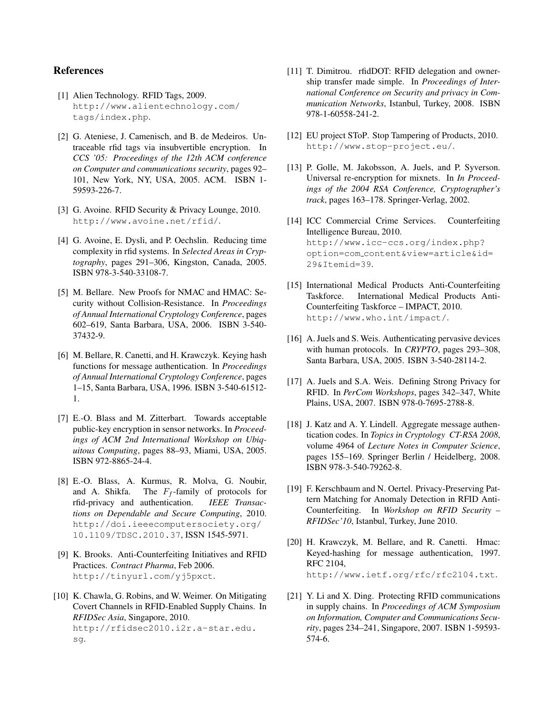# References

- [1] Alien Technology. RFID Tags, 2009. http://www.alientechnology.com/ tags/index.php.
- [2] G. Ateniese, J. Camenisch, and B. de Medeiros. Untraceable rfid tags via insubvertible encryption. In *CCS '05: Proceedings of the 12th ACM conference on Computer and communications security*, pages 92– 101, New York, NY, USA, 2005. ACM. ISBN 1- 59593-226-7.
- [3] G. Avoine. RFID Security & Privacy Lounge, 2010. http://www.avoine.net/rfid/.
- [4] G. Avoine, E. Dysli, and P. Oechslin. Reducing time complexity in rfid systems. In *Selected Areas in Cryptography*, pages 291–306, Kingston, Canada, 2005. ISBN 978-3-540-33108-7.
- [5] M. Bellare. New Proofs for NMAC and HMAC: Security without Collision-Resistance. In *Proceedings of Annual International Cryptology Conference*, pages 602–619, Santa Barbara, USA, 2006. ISBN 3-540- 37432-9.
- [6] M. Bellare, R. Canetti, and H. Krawczyk. Keying hash functions for message authentication. In *Proceedings of Annual International Cryptology Conference*, pages 1–15, Santa Barbara, USA, 1996. ISBN 3-540-61512- 1.
- [7] E.-O. Blass and M. Zitterbart. Towards acceptable public-key encryption in sensor networks. In *Proceedings of ACM 2nd International Workshop on Ubiquitous Computing*, pages 88–93, Miami, USA, 2005. ISBN 972-8865-24-4.
- [8] E.-O. Blass, A. Kurmus, R. Molva, G. Noubir, and A. Shikfa. The  $F_f$ -family of protocols for rfid-privacy and authentication. *IEEE Transactions on Dependable and Secure Computing*, 2010. http://doi.ieeecomputersociety.org/ 10.1109/TDSC.2010.37, ISSN 1545-5971.
- [9] K. Brooks. Anti-Counterfeiting Initiatives and RFID Practices. *Contract Pharma*, Feb 2006. http://tinyurl.com/yj5pxct.
- [10] K. Chawla, G. Robins, and W. Weimer. On Mitigating Covert Channels in RFID-Enabled Supply Chains. In *RFIDSec Asia*, Singapore, 2010. http://rfidsec2010.i2r.a-star.edu. sg.
- [11] T. Dimitrou. rfidDOT: RFID delegation and ownership transfer made simple. In *Proceedings of International Conference on Security and privacy in Communication Networks*, Istanbul, Turkey, 2008. ISBN 978-1-60558-241-2.
- [12] EU project SToP. Stop Tampering of Products, 2010. http://www.stop-project.eu/.
- [13] P. Golle, M. Jakobsson, A. Juels, and P. Syverson. Universal re-encryption for mixnets. In *In Proceedings of the 2004 RSA Conference, Cryptographer's track*, pages 163–178. Springer-Verlag, 2002.
- [14] ICC Commercial Crime Services. Counterfeiting Intelligence Bureau, 2010. http://www.icc-ccs.org/index.php? option=com content&view=article&id= 29&Itemid=39.
- [15] International Medical Products Anti-Counterfeiting Taskforce. International Medical Products Anti-Counterfeiting Taskforce – IMPACT, 2010. http://www.who.int/impact/.
- [16] A. Juels and S. Weis. Authenticating pervasive devices with human protocols. In *CRYPTO*, pages 293–308, Santa Barbara, USA, 2005. ISBN 3-540-28114-2.
- [17] A. Juels and S.A. Weis. Defining Strong Privacy for RFID. In *PerCom Workshops*, pages 342–347, White Plains, USA, 2007. ISBN 978-0-7695-2788-8.
- [18] J. Katz and A. Y. Lindell. Aggregate message authentication codes. In *Topics in Cryptology CT-RSA 2008*, volume 4964 of *Lecture Notes in Computer Science*, pages 155–169. Springer Berlin / Heidelberg, 2008. ISBN 978-3-540-79262-8.
- [19] F. Kerschbaum and N. Oertel. Privacy-Preserving Pattern Matching for Anomaly Detection in RFID Anti-Counterfeiting. In *Workshop on RFID Security – RFIDSec'10*, Istanbul, Turkey, June 2010.
- [20] H. Krawczyk, M. Bellare, and R. Canetti. Hmac: Keyed-hashing for message authentication, 1997. RFC 2104, http://www.ietf.org/rfc/rfc2104.txt.
- [21] Y. Li and X. Ding. Protecting RFID communications in supply chains. In *Proceedings of ACM Symposium on Information, Computer and Communications Security*, pages 234–241, Singapore, 2007. ISBN 1-59593- 574-6.